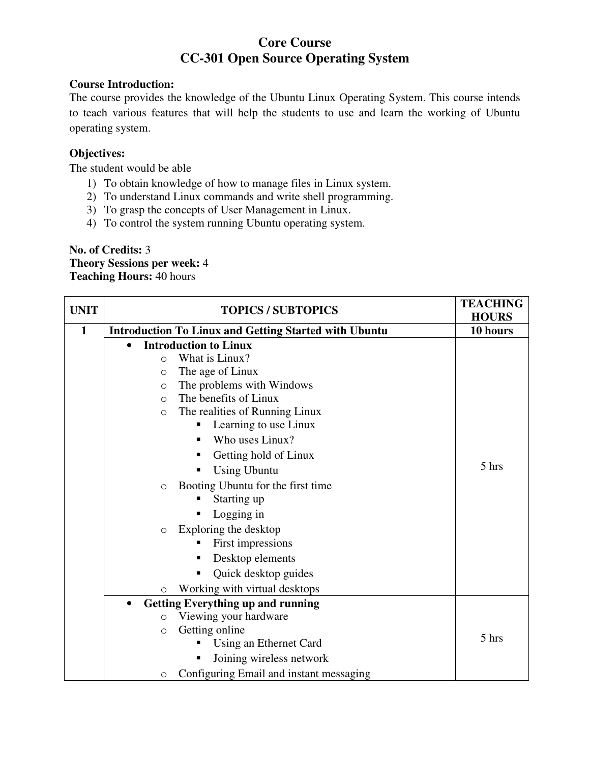# **Core Course CC-301 Open Source Operating System**

## **Course Introduction:**

The course provides the knowledge of the Ubuntu Linux Operating System. This course intends to teach various features that will help the students to use and learn the working of Ubuntu operating system.

## **Objectives:**

The student would be able

- 1) To obtain knowledge of how to manage files in Linux system.
- 2) To understand Linux commands and write shell programming.
- 3) To grasp the concepts of User Management in Linux.
- 4) To control the system running Ubuntu operating system.

## **No. of Credits:** 3 **Theory Sessions per week:** 4 **Teaching Hours:** 40 hours

| <b>UNIT</b> | <b>TOPICS / SUBTOPICS</b>                                    | <b>TEACHING</b><br><b>HOURS</b> |
|-------------|--------------------------------------------------------------|---------------------------------|
| 1           | <b>Introduction To Linux and Getting Started with Ubuntu</b> | 10 hours                        |
|             | <b>Introduction to Linux</b><br>$\bullet$                    |                                 |
|             | What is Linux?<br>$\circ$                                    |                                 |
|             | The age of Linux<br>$\circ$                                  |                                 |
|             | The problems with Windows<br>$\circ$                         |                                 |
|             | The benefits of Linux<br>$\circ$                             |                                 |
|             | The realities of Running Linux<br>$\circ$                    |                                 |
|             | Learning to use Linux                                        |                                 |
|             | Who uses Linux?                                              |                                 |
|             | Getting hold of Linux                                        |                                 |
|             | <b>Using Ubuntu</b>                                          | 5 hrs                           |
|             | Booting Ubuntu for the first time<br>$\circ$                 |                                 |
|             | Starting up                                                  |                                 |
|             | Logging in                                                   |                                 |
|             | Exploring the desktop<br>$\circ$                             |                                 |
|             | First impressions                                            |                                 |
|             | Desktop elements                                             |                                 |
|             | Quick desktop guides                                         |                                 |
|             | Working with virtual desktops<br>$\circ$                     |                                 |
|             | <b>Getting Everything up and running</b><br>$\bullet$        |                                 |
|             | Viewing your hardware<br>$\circ$                             |                                 |
|             | Getting online<br>$\circ$                                    | 5 hrs                           |
|             | Using an Ethernet Card                                       |                                 |
|             | Joining wireless network                                     |                                 |
|             | Configuring Email and instant messaging<br>$\circ$           |                                 |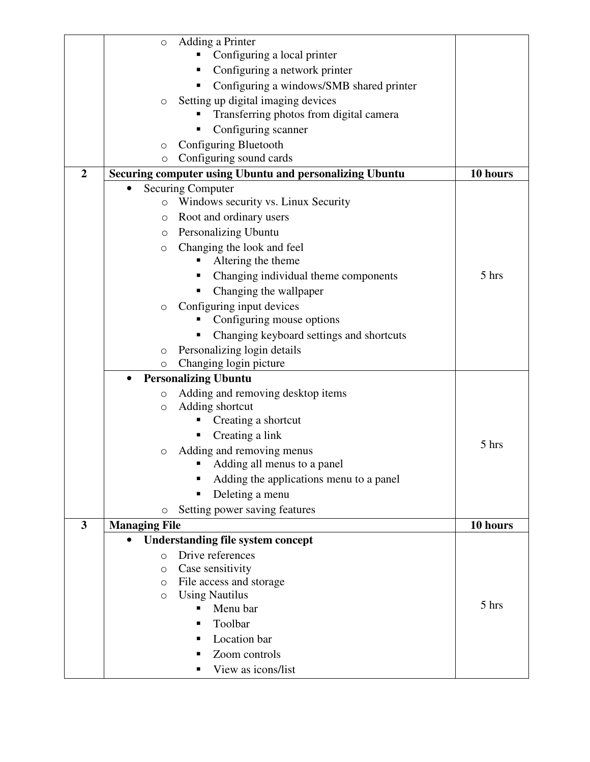|                | Adding a Printer<br>O                                   |          |
|----------------|---------------------------------------------------------|----------|
|                | Configuring a local printer                             |          |
|                | Configuring a network printer                           |          |
|                | Configuring a windows/SMB shared printer                |          |
|                | Setting up digital imaging devices<br>O                 |          |
|                | Transferring photos from digital camera                 |          |
|                | Configuring scanner                                     |          |
|                | Configuring Bluetooth<br>$\circ$                        |          |
|                | Configuring sound cards<br>$\circ$                      |          |
| $\overline{2}$ | Securing computer using Ubuntu and personalizing Ubuntu | 10 hours |
|                | <b>Securing Computer</b>                                |          |
|                | Windows security vs. Linux Security<br>$\circ$          |          |
|                | Root and ordinary users<br>O                            |          |
|                | Personalizing Ubuntu<br>O                               |          |
|                | Changing the look and feel<br>$\circ$                   |          |
|                | Altering the theme                                      |          |
|                | Changing individual theme components                    | 5 hrs    |
|                | Changing the wallpaper                                  |          |
|                | Configuring input devices<br>$\circ$                    |          |
|                | Configuring mouse options                               |          |
|                | Changing keyboard settings and shortcuts                |          |
|                | Personalizing login details<br>O                        |          |
|                | Changing login picture<br>$\circ$                       |          |
|                | <b>Personalizing Ubuntu</b>                             |          |
|                | Adding and removing desktop items<br>$\circ$            |          |
|                | Adding shortcut<br>O                                    |          |
|                | Creating a shortcut                                     |          |
|                | Creating a link                                         | 5 hrs    |
|                | Adding and removing menus<br>O                          |          |
|                | Adding all menus to a panel                             |          |
|                | Adding the applications menu to a panel                 |          |
|                | Deleting a menu                                         |          |
|                | Setting power saving features<br>O                      |          |
| 3              | <b>Managing File</b>                                    | 10 hours |
|                | <b>Understanding file system concept</b>                |          |
|                | Drive references<br>$\Omega$                            |          |
|                | Case sensitivity<br>O                                   |          |
|                | File access and storage<br>$\circ$                      |          |
|                | <b>Using Nautilus</b><br>$\circ$                        | 5 hrs    |
|                | Menu bar                                                |          |
|                | Toolbar<br>п                                            |          |
|                | Location bar                                            |          |
|                | Zoom controls                                           |          |
|                | View as icons/list                                      |          |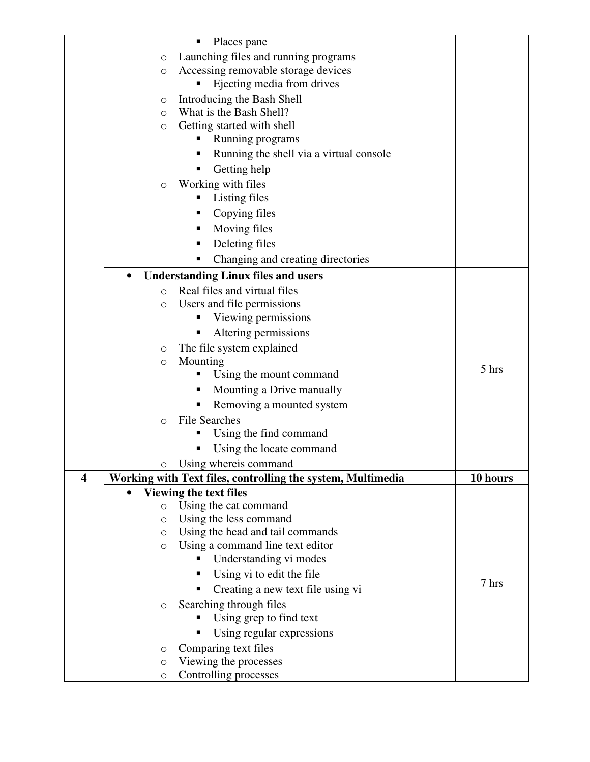|   |                     | п<br>Places pane                                            |          |
|---|---------------------|-------------------------------------------------------------|----------|
|   | $\circ$             | Launching files and running programs                        |          |
|   | $\circ$             | Accessing removable storage devices                         |          |
|   |                     | Ejecting media from drives                                  |          |
|   | O                   | Introducing the Bash Shell                                  |          |
|   | $\circ$             | What is the Bash Shell?                                     |          |
|   | $\circlearrowright$ | Getting started with shell                                  |          |
|   |                     | Running programs<br>п                                       |          |
|   |                     | Running the shell via a virtual console                     |          |
|   |                     | Getting help                                                |          |
|   | $\circ$             | Working with files                                          |          |
|   |                     | Listing files                                               |          |
|   |                     | Copying files<br>п                                          |          |
|   |                     | Moving files<br>п                                           |          |
|   |                     | Deleting files<br>п                                         |          |
|   |                     | Changing and creating directories                           |          |
|   |                     |                                                             |          |
|   | $\bullet$           | <b>Understanding Linux files and users</b>                  |          |
|   | $\Omega$            | Real files and virtual files                                |          |
|   | $\circ$             | Users and file permissions                                  |          |
|   |                     | Viewing permissions                                         |          |
|   |                     | Altering permissions                                        |          |
|   | O                   | The file system explained                                   |          |
|   | $\circ$             | Mounting                                                    | 5 hrs    |
|   |                     | Using the mount command                                     |          |
|   |                     | Mounting a Drive manually<br>п                              |          |
|   |                     | Removing a mounted system<br>п                              |          |
|   | $\circ$             | <b>File Searches</b>                                        |          |
|   |                     | Using the find command                                      |          |
|   |                     | Using the locate command                                    |          |
|   | O                   | Using whereis command                                       |          |
| 4 |                     | Working with Text files, controlling the system, Multimedia | 10 hours |
|   |                     | <b>Viewing the text files</b>                               |          |
|   | $\circ$             | Using the cat command                                       |          |
|   | $\circ$             | Using the less command                                      |          |
|   | O                   | Using the head and tail commands                            |          |
|   | O                   | Using a command line text editor                            |          |
|   |                     | Understanding vi modes<br>Π                                 |          |
|   |                     | Using vi to edit the file<br>п                              |          |
|   |                     | Creating a new text file using vi<br>п                      | 7 hrs    |
|   | $\circlearrowright$ | Searching through files                                     |          |
|   |                     | Using grep to find text                                     |          |
|   |                     | Using regular expressions                                   |          |
|   | O                   | Comparing text files                                        |          |
|   | $\circ$             | Viewing the processes                                       |          |
|   | O                   | Controlling processes                                       |          |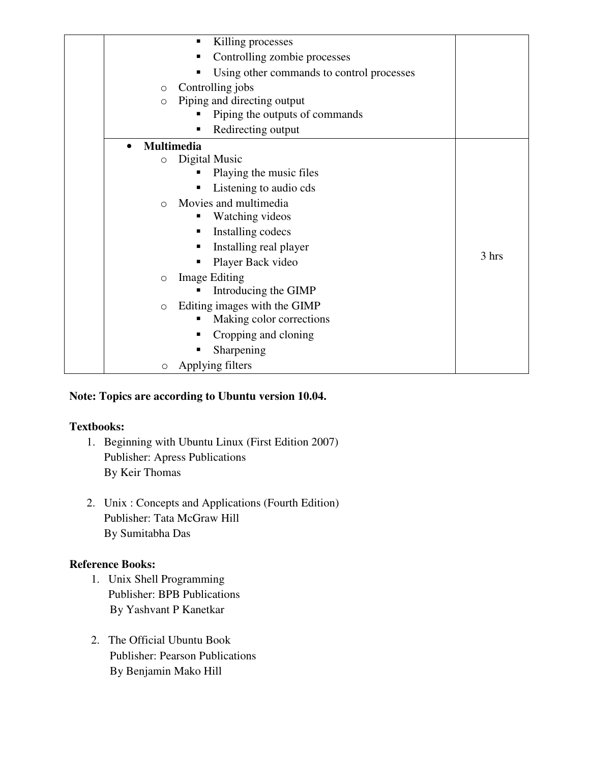| Killing processes<br>п                         |       |
|------------------------------------------------|-------|
| Controlling zombie processes<br>▪              |       |
| Using other commands to control processes<br>п |       |
| Controlling jobs<br>$\circ$                    |       |
| Piping and directing output<br>$\circ$         |       |
| Piping the outputs of commands                 |       |
| Redirecting output<br>п                        |       |
| <b>Multimedia</b><br>$\bullet$                 |       |
| Digital Music<br>$\circ$                       |       |
| Playing the music files                        |       |
| Listening to audio cds<br>п                    |       |
| Movies and multimedia<br>$\circ$               |       |
| Watching videos                                |       |
| Installing codecs<br>п                         |       |
| Installing real player<br>п                    |       |
| Player Back video<br>п                         | 3 hrs |
| <b>Image Editing</b><br>$\circ$                |       |
| Introducing the GIMP                           |       |
| Editing images with the GIMP<br>$\circ$        |       |
| Making color corrections<br>п                  |       |
| Cropping and cloning<br>п                      |       |
| Sharpening                                     |       |
| Applying filters<br>$\circ$                    |       |

## **Note: Topics are according to Ubuntu version 10.04.**

## **Textbooks:**

- 1. Beginning with Ubuntu Linux (First Edition 2007) Publisher: Apress Publications By Keir Thomas
- 2. Unix : Concepts and Applications (Fourth Edition) Publisher: Tata McGraw Hill By Sumitabha Das

- 1. Unix Shell Programming Publisher: BPB Publications By Yashvant P Kanetkar
- 2. The Official Ubuntu Book Publisher: Pearson Publications By Benjamin Mako Hill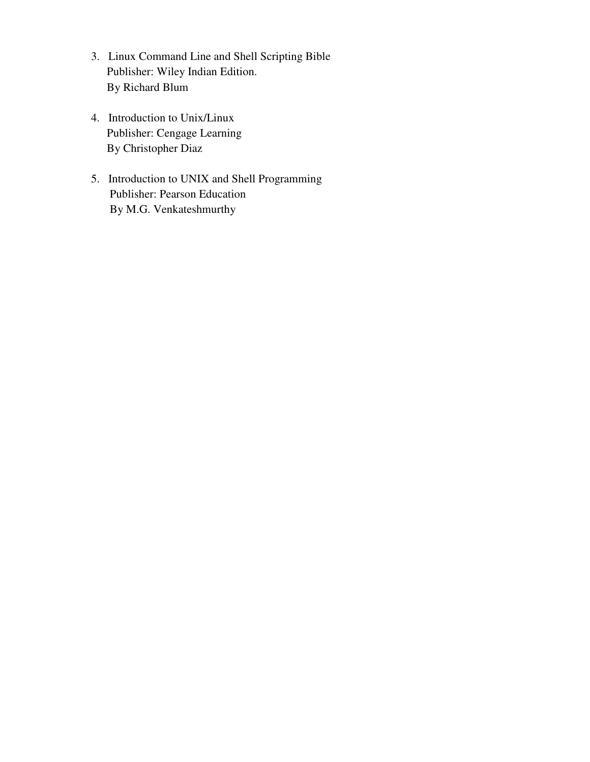- 3. Linux Command Line and Shell Scripting Bible Publisher: Wiley Indian Edition. By Richard Blum
- 4. Introduction to Unix/Linux Publisher: Cengage Learning By Christopher Diaz
- 5. Introduction to UNIX and Shell Programming Publisher: Pearson Education By M.G. Venkateshmurthy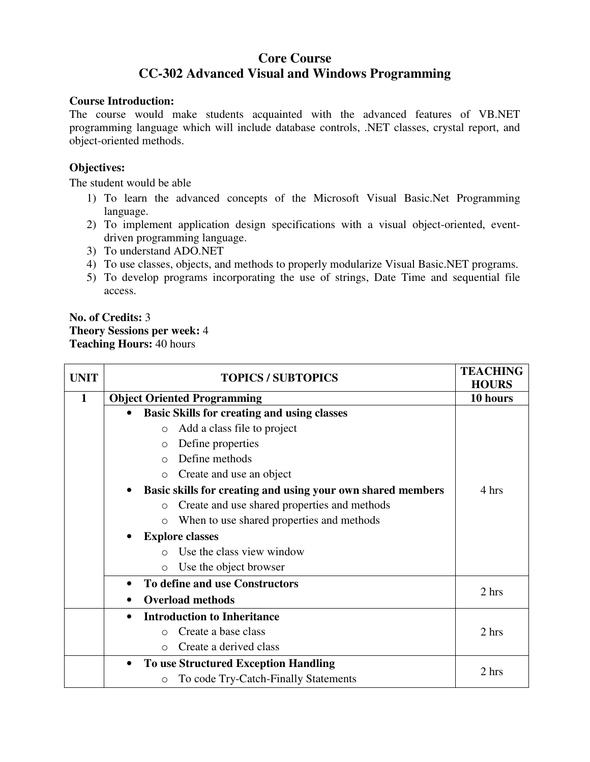# **Core Course CC-302 Advanced Visual and Windows Programming**

### **Course Introduction:**

The course would make students acquainted with the advanced features of VB.NET programming language which will include database controls, .NET classes, crystal report, and object-oriented methods.

## **Objectives:**

The student would be able

- 1) To learn the advanced concepts of the Microsoft Visual Basic.Net Programming language.
- 2) To implement application design specifications with a visual object-oriented, eventdriven programming language.
- 3) To understand ADO.NET
- 4) To use classes, objects, and methods to properly modularize Visual Basic.NET programs.
- 5) To develop programs incorporating the use of strings, Date Time and sequential file access.

## **No. of Credits:** 3 **Theory Sessions per week:** 4 **Teaching Hours:** 40 hours

| <b>UNIT</b>  | <b>TOPICS / SUBTOPICS</b>                                   | <b>TEACHING</b><br><b>HOURS</b> |
|--------------|-------------------------------------------------------------|---------------------------------|
| $\mathbf{1}$ | <b>Object Oriented Programming</b>                          | 10 hours                        |
|              | <b>Basic Skills for creating and using classes</b>          |                                 |
|              | Add a class file to project<br>$\circ$                      |                                 |
|              | Define properties<br>$\circ$                                |                                 |
|              | Define methods<br>$\bigcirc$                                |                                 |
|              | Create and use an object<br>$\circ$                         |                                 |
|              | Basic skills for creating and using your own shared members | 4 hrs                           |
|              | Create and use shared properties and methods<br>$\Omega$    |                                 |
|              | When to use shared properties and methods<br>$\circ$        |                                 |
|              | <b>Explore classes</b>                                      |                                 |
|              | Use the class view window<br>$\bigcap$                      |                                 |
|              | Use the object browser<br>$\Omega$                          |                                 |
|              | To define and use Constructors<br>$\bullet$                 |                                 |
|              | <b>Overload methods</b>                                     | 2 hrs                           |
|              | <b>Introduction to Inheritance</b><br>$\bullet$             |                                 |
|              | Create a base class<br>$\bigcirc$                           | 2 hrs                           |
|              | Create a derived class<br>$\bigcirc$                        |                                 |
|              | <b>To use Structured Exception Handling</b><br>٠            |                                 |
|              | To code Try-Catch-Finally Statements<br>$\circ$             | 2 hrs                           |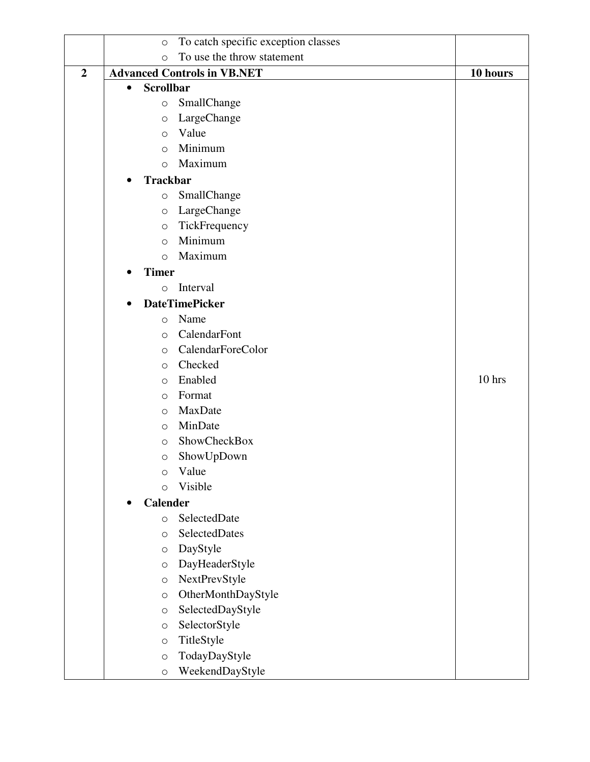|                | To catch specific exception classes<br>$\circ$ |          |
|----------------|------------------------------------------------|----------|
|                | To use the throw statement<br>$\circ$          |          |
| $\overline{2}$ | <b>Advanced Controls in VB.NET</b>             | 10 hours |
|                | <b>Scrollbar</b><br>$\bullet$                  |          |
|                | SmallChange<br>$\circ$                         |          |
|                | LargeChange<br>$\bigcirc$                      |          |
|                | Value<br>$\circ$                               |          |
|                | Minimum<br>$\circ$                             |          |
|                | Maximum<br>$\circ$                             |          |
|                | <b>Trackbar</b>                                |          |
|                | SmallChange<br>$\circ$                         |          |
|                | LargeChange<br>$\circlearrowright$             |          |
|                | TickFrequency<br>$\circ$                       |          |
|                | Minimum<br>$\circ$                             |          |
|                | Maximum<br>$\circ$                             |          |
|                | <b>Timer</b>                                   |          |
|                | Interval<br>$\circ$                            |          |
|                | <b>DateTimePicker</b>                          |          |
|                | Name<br>$\circ$                                |          |
|                | CalendarFont<br>$\circ$                        |          |
|                | CalendarForeColor<br>$\circ$                   |          |
|                | Checked<br>$\circ$                             |          |
|                | Enabled<br>$\circ$                             | 10 hrs   |
|                | Format<br>$\circ$                              |          |
|                | MaxDate<br>$\circ$                             |          |
|                | MinDate<br>$\circ$                             |          |
|                | ShowCheckBox<br>$\circlearrowright$            |          |
|                | ShowUpDown<br>$\circ$                          |          |
|                | Value<br>$\circ$                               |          |
|                | Visible<br>$\circ$                             |          |
|                | <b>Calender</b>                                |          |
|                | SelectedDate<br>$\circ$                        |          |
|                | SelectedDates<br>$\circ$                       |          |
|                | DayStyle<br>$\circ$                            |          |
|                | DayHeaderStyle<br>$\circ$                      |          |
|                | NextPrevStyle<br>$\bigcirc$                    |          |
|                | OtherMonthDayStyle<br>$\circ$                  |          |
|                | SelectedDayStyle<br>$\circ$                    |          |
|                | SelectorStyle<br>$\bigcirc$                    |          |
|                | TitleStyle<br>$\bigcirc$                       |          |
|                | TodayDayStyle<br>$\circ$                       |          |
|                | WeekendDayStyle<br>$\bigcirc$                  |          |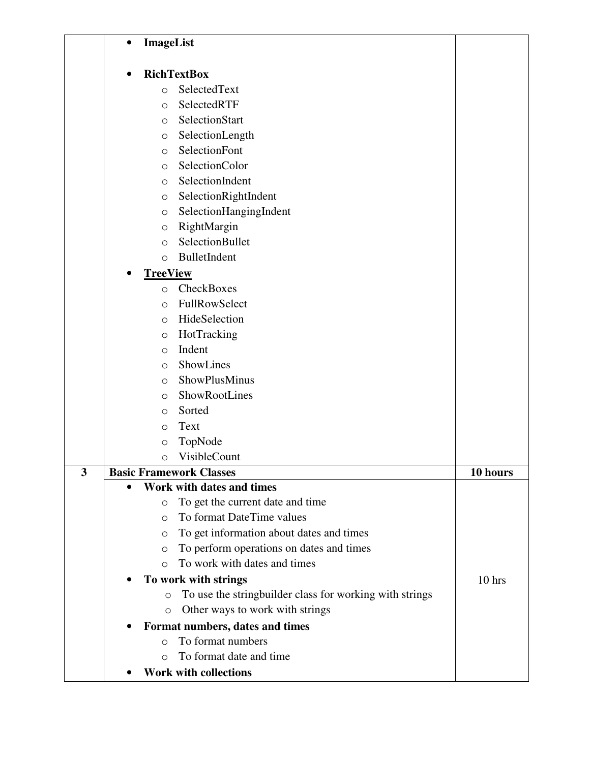|   | ImageList<br>$\bullet$         |                                                         |          |
|---|--------------------------------|---------------------------------------------------------|----------|
|   |                                | <b>RichTextBox</b>                                      |          |
|   | $\circ$                        | SelectedText                                            |          |
|   | $\circ$                        | SelectedRTF                                             |          |
|   | $\circ$                        | SelectionStart                                          |          |
|   | $\circ$                        | SelectionLength                                         |          |
|   | $\circ$                        | SelectionFont                                           |          |
|   | $\circ$                        | SelectionColor                                          |          |
|   | $\circ$                        | SelectionIndent                                         |          |
|   | $\circlearrowright$            | SelectionRightIndent                                    |          |
|   | $\circ$                        | SelectionHangingIndent                                  |          |
|   | $\circlearrowright$            | RightMargin                                             |          |
|   | $\circ$                        | SelectionBullet                                         |          |
|   | $\circ$                        | BulletIndent                                            |          |
|   | <b>TreeView</b>                |                                                         |          |
|   | $\Omega$                       | CheckBoxes                                              |          |
|   | $\circ$                        | FullRowSelect                                           |          |
|   | $\circ$                        | HideSelection                                           |          |
|   | $\circlearrowright$            | HotTracking                                             |          |
|   | $\circ$                        | Indent                                                  |          |
|   | $\circ$                        | ShowLines                                               |          |
|   | $\circ$                        | ShowPlusMinus                                           |          |
|   | $\circ$                        | ShowRootLines                                           |          |
|   | $\circ$                        | Sorted                                                  |          |
|   | $\circ$                        | Text                                                    |          |
|   | $\circlearrowright$            | TopNode                                                 |          |
|   | $\circ$                        | VisibleCount                                            |          |
| 3 | <b>Basic Framework Classes</b> |                                                         | 10 hours |
|   |                                | Work with dates and times                               |          |
|   | $\circ$                        | To get the current date and time                        |          |
|   | $\circ$                        | To format DateTime values                               |          |
|   | O                              | To get information about dates and times                |          |
|   | $\circ$                        | To perform operations on dates and times                |          |
|   | $\Omega$                       | To work with dates and times                            |          |
|   |                                | To work with strings                                    | 10 hrs   |
|   | $\circ$                        | To use the stringbuilder class for working with strings |          |
|   | $\circ$                        | Other ways to work with strings                         |          |
|   |                                | Format numbers, dates and times                         |          |
|   | $\Omega$                       | To format numbers                                       |          |
|   | $\circ$                        | To format date and time                                 |          |
|   |                                | <b>Work with collections</b>                            |          |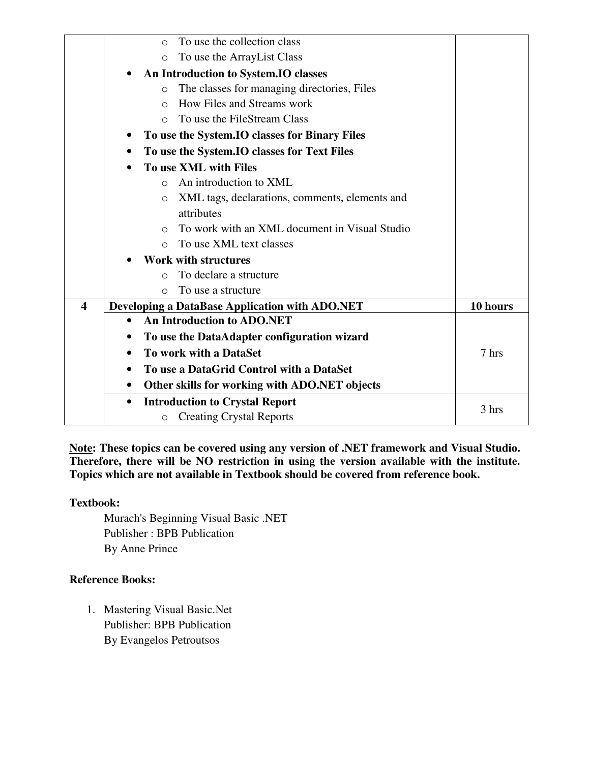|                         | To use the collection class<br>$\bigcirc$                   |          |
|-------------------------|-------------------------------------------------------------|----------|
|                         | To use the ArrayList Class<br>$\Omega$                      |          |
|                         | An Introduction to System.IO classes                        |          |
|                         | The classes for managing directories, Files<br>$\circ$      |          |
|                         | How Files and Streams work<br>$\bigcirc$                    |          |
|                         | To use the FileStream Class<br>$\bigcirc$                   |          |
|                         | To use the System. IO classes for Binary Files              |          |
|                         | To use the System.IO classes for Text Files<br>$\bullet$    |          |
|                         | To use XML with Files<br>$\bullet$                          |          |
|                         | An introduction to XML<br>$\Omega$                          |          |
|                         | XML tags, declarations, comments, elements and<br>$\circ$   |          |
|                         | attributes                                                  |          |
|                         | To work with an XML document in Visual Studio<br>$\bigcirc$ |          |
|                         | To use XML text classes<br>$\circ$                          |          |
|                         | <b>Work with structures</b>                                 |          |
|                         | To declare a structure<br>$\bigcirc$                        |          |
|                         | To use a structure<br>$\bigcirc$                            |          |
| $\overline{\mathbf{4}}$ | <b>Developing a DataBase Application with ADO.NET</b>       | 10 hours |
|                         | <b>An Introduction to ADO.NET</b><br>$\bullet$              |          |
|                         | To use the DataAdapter configuration wizard                 |          |
|                         | To work with a DataSet<br>$\bullet$                         | 7 hrs    |
|                         | To use a DataGrid Control with a DataSet                    |          |
|                         | Other skills for working with ADO.NET objects<br>٠          |          |
|                         | <b>Introduction to Crystal Report</b><br>$\bullet$          |          |
|                         | <b>Creating Crystal Reports</b><br>O                        | 3 hrs    |

**Note: These topics can be covered using any version of .NET framework and Visual Studio. Therefore, there will be NO restriction in using the version available with the institute. Topics which are not available in Textbook should be covered from reference book.**

## **Textbook:**

Murach's Beginning Visual Basic .NET Publisher : BPB Publication By Anne Prince

## **Reference Books:**

1. Mastering Visual Basic.Net Publisher: BPB Publication By Evangelos Petroutsos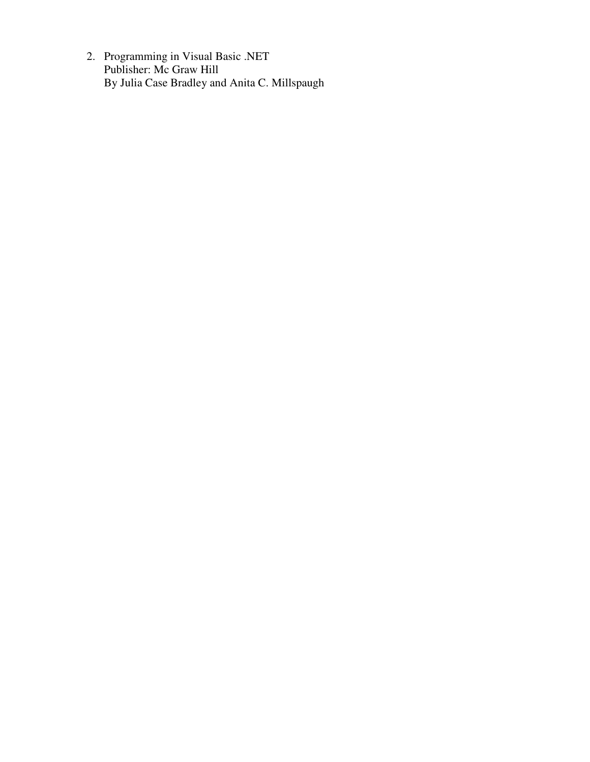2. Programming in Visual Basic .NET Publisher: Mc Graw Hill By Julia Case Bradley and Anita C. Millspaugh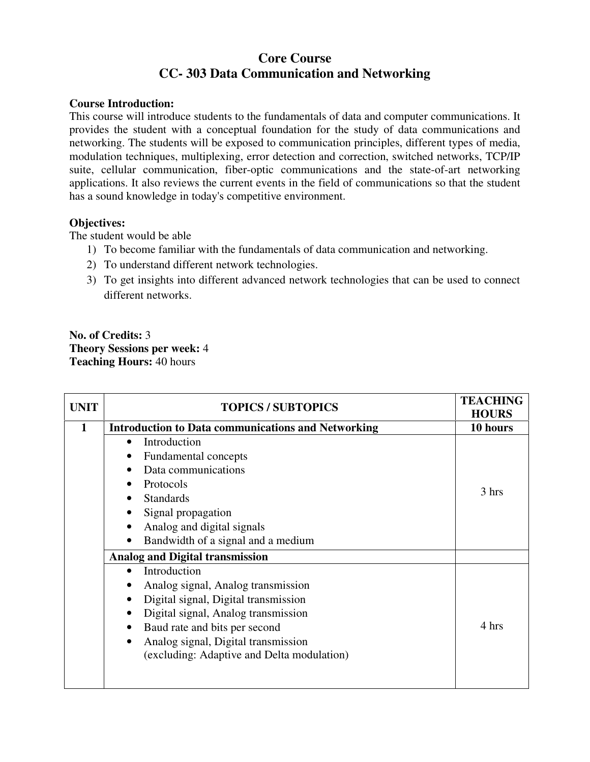# **Core Course CC- 303 Data Communication and Networking**

#### **Course Introduction:**

This course will introduce students to the fundamentals of data and computer communications. It provides the student with a conceptual foundation for the study of data communications and networking. The students will be exposed to communication principles, different types of media, modulation techniques, multiplexing, error detection and correction, switched networks, TCP/IP suite, cellular communication, fiber-optic communications and the state-of-art networking applications. It also reviews the current events in the field of communications so that the student has a sound knowledge in today's competitive environment.

## **Objectives:**

The student would be able

- 1) To become familiar with the fundamentals of data communication and networking.
- 2) To understand different network technologies.
- 3) To get insights into different advanced network technologies that can be used to connect different networks.

**No. of Credits:** 3 **Theory Sessions per week:** 4 **Teaching Hours:** 40 hours

| <b>UNIT</b> | <b>TOPICS / SUBTOPICS</b>                                 | <b>TEACHING</b><br><b>HOURS</b> |
|-------------|-----------------------------------------------------------|---------------------------------|
|             | <b>Introduction to Data communications and Networking</b> |                                 |
|             | Introduction<br>$\bullet$                                 |                                 |
|             | Fundamental concepts                                      |                                 |
|             | Data communications                                       |                                 |
|             | Protocols                                                 | 3 hrs                           |
|             | <b>Standards</b>                                          |                                 |
|             | Signal propagation<br>٠                                   |                                 |
|             | Analog and digital signals<br>٠                           |                                 |
|             | Bandwidth of a signal and a medium<br>$\bullet$           |                                 |
|             | <b>Analog and Digital transmission</b>                    |                                 |
|             | Introduction                                              |                                 |
|             | Analog signal, Analog transmission                        |                                 |
|             | Digital signal, Digital transmission                      |                                 |
|             | Digital signal, Analog transmission                       |                                 |
|             | Baud rate and bits per second<br>$\bullet$                | 4 hrs                           |
|             | Analog signal, Digital transmission<br>$\bullet$          |                                 |
|             | (excluding: Adaptive and Delta modulation)                |                                 |
|             |                                                           |                                 |
|             |                                                           |                                 |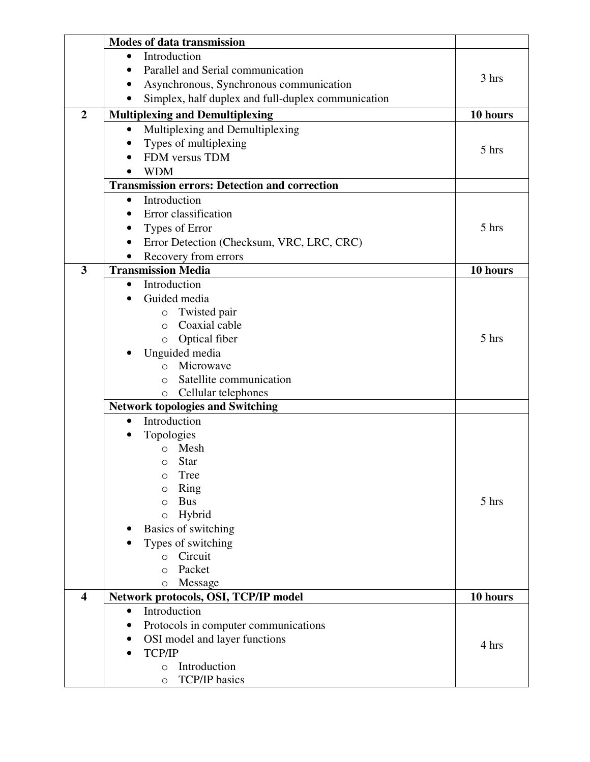|                         | <b>Modes of data transmission</b>                    |          |  |
|-------------------------|------------------------------------------------------|----------|--|
|                         | Introduction<br>$\bullet$                            |          |  |
|                         | Parallel and Serial communication                    |          |  |
|                         | Asynchronous, Synchronous communication              | 3 hrs    |  |
|                         | Simplex, half duplex and full-duplex communication   |          |  |
| $\overline{2}$          | <b>Multiplexing and Demultiplexing</b>               | 10 hours |  |
|                         | Multiplexing and Demultiplexing<br>$\bullet$         |          |  |
|                         | Types of multiplexing                                |          |  |
|                         | FDM versus TDM                                       | 5 hrs    |  |
|                         | <b>WDM</b>                                           |          |  |
|                         | <b>Transmission errors: Detection and correction</b> |          |  |
|                         | Introduction<br>$\bullet$                            |          |  |
|                         | Error classification                                 |          |  |
|                         | Types of Error                                       | 5 hrs    |  |
|                         | Error Detection (Checksum, VRC, LRC, CRC)            |          |  |
|                         | Recovery from errors                                 |          |  |
| $\overline{\mathbf{3}}$ | <b>Transmission Media</b>                            | 10 hours |  |
|                         | Introduction<br>$\bullet$                            |          |  |
|                         | Guided media                                         |          |  |
|                         | Twisted pair<br>$\circ$                              |          |  |
|                         | Coaxial cable<br>$\Omega$                            |          |  |
|                         | Optical fiber<br>$\circ$                             | 5 hrs    |  |
|                         | Unguided media                                       |          |  |
|                         | Microwave<br>$\Omega$                                |          |  |
|                         | Satellite communication<br>$\Omega$                  |          |  |
|                         | Cellular telephones<br>$\circ$                       |          |  |
|                         | <b>Network topologies and Switching</b>              |          |  |
|                         | Introduction<br>$\bullet$                            |          |  |
|                         | Topologies                                           |          |  |
|                         | Mesh                                                 |          |  |
|                         | $\circ$ Star                                         |          |  |
|                         | Tree<br>$\circ$                                      |          |  |
|                         | Ring<br>$\circ$                                      |          |  |
|                         | <b>Bus</b><br>$\circ$                                | 5 hrs    |  |
|                         | Hybrid<br>$\circ$                                    |          |  |
|                         | Basics of switching                                  |          |  |
|                         | Types of switching                                   |          |  |
|                         | o Circuit                                            |          |  |
|                         | Packet<br>$\Omega$                                   |          |  |
|                         | Message<br>$\bigcirc$                                |          |  |
| $\overline{\mathbf{4}}$ | Network protocols, OSI, TCP/IP model                 | 10 hours |  |
|                         | Introduction<br>$\bullet$                            |          |  |
|                         | Protocols in computer communications                 |          |  |
|                         | OSI model and layer functions                        | 4 hrs    |  |
|                         | <b>TCP/IP</b>                                        |          |  |
|                         | Introduction<br>$\circ$                              |          |  |
|                         | <b>TCP/IP</b> basics<br>$\circ$                      |          |  |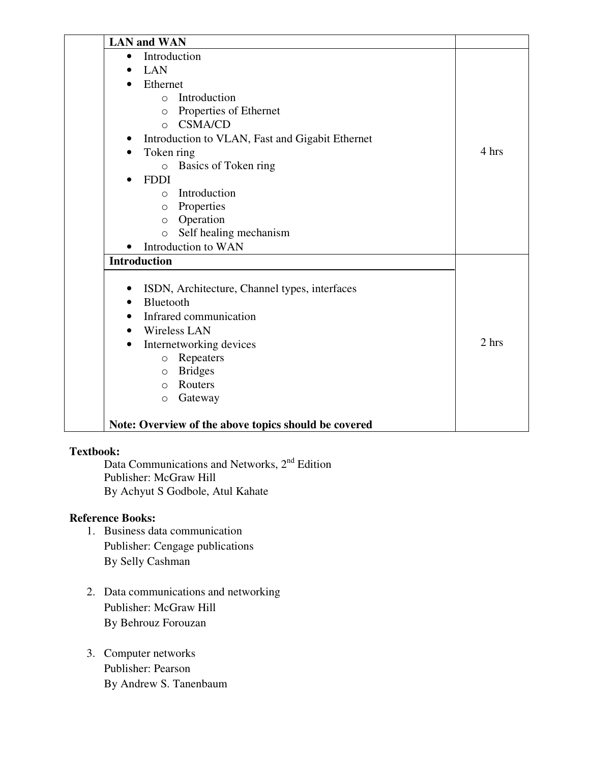| <b>LAN</b> and WAN                                   |       |
|------------------------------------------------------|-------|
| Introduction<br>$\bullet$                            |       |
| <b>LAN</b>                                           |       |
| Ethernet                                             |       |
| Introduction<br>$\circ$                              |       |
| Properties of Ethernet<br>$\circ$                    |       |
| <b>CSMA/CD</b><br>$\Omega$                           |       |
| Introduction to VLAN, Fast and Gigabit Ethernet      |       |
| Token ring                                           | 4 hrs |
| <b>Basics of Token ring</b>                          |       |
| <b>FDDI</b>                                          |       |
| Introduction<br>$\circ$                              |       |
| Properties<br>$\circ$                                |       |
| Operation<br>$\circ$                                 |       |
| Self healing mechanism<br>$\circ$                    |       |
| Introduction to WAN                                  |       |
| <b>Introduction</b>                                  |       |
| ISDN, Architecture, Channel types, interfaces        |       |
| Bluetooth<br>$\bullet$                               |       |
| Infrared communication                               |       |
| <b>Wireless LAN</b><br>$\bullet$                     |       |
| Internetworking devices                              | 2 hrs |
| Repeaters<br>$\circ$                                 |       |
| <b>Bridges</b><br>$\circlearrowright$                |       |
| Routers<br>$\Omega$                                  |       |
| Gateway<br>$\circ$                                   |       |
|                                                      |       |
| Note: Overview of the above topics should be covered |       |

## **Textbook:**

Data Communications and Networks, 2<sup>nd</sup> Edition Publisher: McGraw Hill By Achyut S Godbole, Atul Kahate

- 1. Business data communication Publisher: Cengage publications By Selly Cashman
- 2. Data communications and networking Publisher: McGraw Hill By Behrouz Forouzan
- 3. Computer networks Publisher: Pearson By Andrew S. Tanenbaum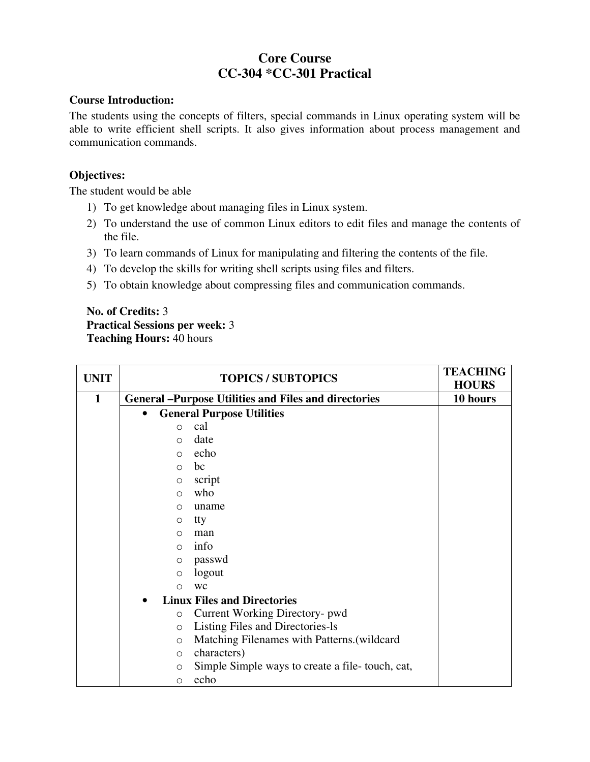# **Core Course CC-304 \*CC-301 Practical**

### **Course Introduction:**

The students using the concepts of filters, special commands in Linux operating system will be able to write efficient shell scripts. It also gives information about process management and communication commands.

## **Objectives:**

The student would be able

- 1) To get knowledge about managing files in Linux system.
- 2) To understand the use of common Linux editors to edit files and manage the contents of the file.
- 3) To learn commands of Linux for manipulating and filtering the contents of the file.
- 4) To develop the skills for writing shell scripts using files and filters.
- 5) To obtain knowledge about compressing files and communication commands.

## **No. of Credits:** 3 **Practical Sessions per week:** 3 **Teaching Hours:** 40 hours

| <b>UNIT</b> | <b>TOPICS / SUBTOPICS</b> |                                                              | <b>TEACHING</b><br><b>HOURS</b> |
|-------------|---------------------------|--------------------------------------------------------------|---------------------------------|
| 1           |                           | <b>General – Purpose Utilities and Files and directories</b> | 10 hours                        |
|             | $\bullet$                 | <b>General Purpose Utilities</b>                             |                                 |
|             | $\Omega$                  | cal                                                          |                                 |
|             | $\Omega$                  | date                                                         |                                 |
|             | $\bigcap$                 | echo                                                         |                                 |
|             | $\Omega$                  | bc                                                           |                                 |
|             | $\circ$                   | script                                                       |                                 |
|             | $\circ$                   | who                                                          |                                 |
|             | $\bigcirc$                | uname                                                        |                                 |
|             | $\circ$                   | tty                                                          |                                 |
|             | $\bigcirc$                | man                                                          |                                 |
|             | $\Omega$                  | info                                                         |                                 |
|             | $\circ$                   | passwd                                                       |                                 |
|             | $\circ$                   | logout                                                       |                                 |
|             | $\Omega$                  | <b>WC</b>                                                    |                                 |
|             |                           | <b>Linux Files and Directories</b>                           |                                 |
|             | $\circ$                   | Current Working Directory- pwd                               |                                 |
|             | $\circ$                   | Listing Files and Directories-ls                             |                                 |
|             | $\circ$                   | Matching Filenames with Patterns.(wildcard                   |                                 |
|             | $\Omega$                  | characters)                                                  |                                 |
|             | $\circ$                   | Simple Simple ways to create a file-touch, cat,              |                                 |
|             | $\circ$                   | echo                                                         |                                 |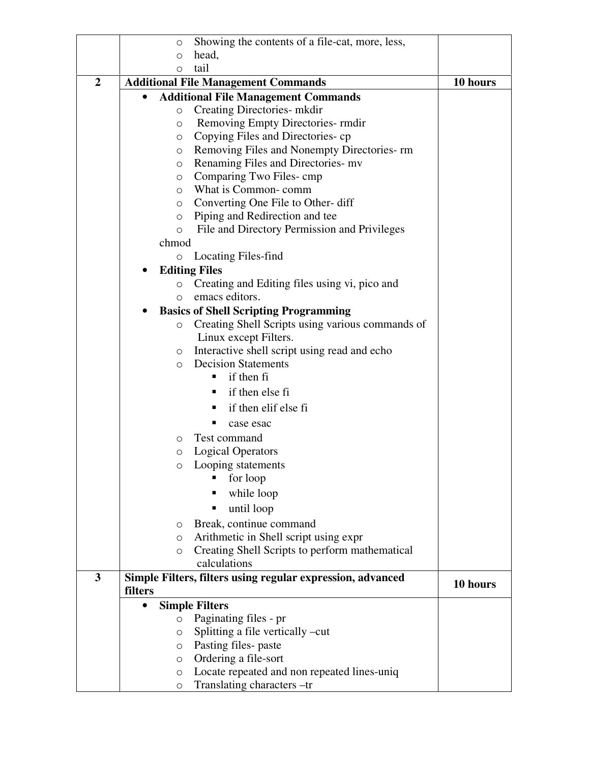|                         | O        | Showing the contents of a file-cat, more, less,            |          |
|-------------------------|----------|------------------------------------------------------------|----------|
|                         | $\circ$  | head,                                                      |          |
|                         | $\circ$  | tail                                                       |          |
| $\overline{2}$          |          | <b>Additional File Management Commands</b>                 | 10 hours |
|                         |          | <b>Additional File Management Commands</b>                 |          |
|                         | $\circ$  | Creating Directories- mkdir                                |          |
|                         | $\circ$  | Removing Empty Directories- rmdir                          |          |
|                         | $\circ$  | Copying Files and Directories-cp                           |          |
|                         | O        | Removing Files and Nonempty Directories-rm                 |          |
|                         | $\circ$  | Renaming Files and Directories-mv                          |          |
|                         | $\circ$  | Comparing Two Files-cmp                                    |          |
|                         | $\circ$  | What is Common-comm                                        |          |
|                         | $\circ$  | Converting One File to Other- diff                         |          |
|                         | $\circ$  | Piping and Redirection and tee                             |          |
|                         | $\circ$  | File and Directory Permission and Privileges               |          |
|                         | chmod    |                                                            |          |
|                         | O        | Locating Files-find                                        |          |
|                         |          | <b>Editing Files</b>                                       |          |
|                         | $\circ$  | Creating and Editing files using vi, pico and              |          |
|                         | $\circ$  | emacs editors.                                             |          |
|                         |          | <b>Basics of Shell Scripting Programming</b>               |          |
|                         | $\circ$  | Creating Shell Scripts using various commands of           |          |
|                         |          | Linux except Filters.                                      |          |
|                         | $\circ$  | Interactive shell script using read and echo               |          |
|                         | $\Omega$ | <b>Decision Statements</b>                                 |          |
|                         |          | if then fi<br>٠                                            |          |
|                         |          | if then else fi<br>٠                                       |          |
|                         |          | if then elif else fi<br>٠                                  |          |
|                         |          | case esac                                                  |          |
|                         |          | Test command                                               |          |
|                         | $\circ$  | <b>Logical Operators</b>                                   |          |
|                         | $\circ$  | Looping statements                                         |          |
|                         |          | for loop                                                   |          |
|                         |          | п                                                          |          |
|                         |          | while loop                                                 |          |
|                         |          | until loop                                                 |          |
|                         | $\circ$  | Break, continue command                                    |          |
|                         | $\circ$  | Arithmetic in Shell script using expr                      |          |
|                         | $\circ$  | Creating Shell Scripts to perform mathematical             |          |
|                         |          | calculations                                               |          |
| $\overline{\mathbf{3}}$ |          | Simple Filters, filters using regular expression, advanced | 10 hours |
|                         | filters  |                                                            |          |
|                         |          | <b>Simple Filters</b>                                      |          |
|                         | $\circ$  | Paginating files - pr                                      |          |
|                         | $\circ$  | Splitting a file vertically -cut                           |          |
|                         | $\circ$  | Pasting files-paste                                        |          |
|                         | $\circ$  | Ordering a file-sort                                       |          |
|                         | $\circ$  | Locate repeated and non repeated lines-uniq                |          |
|                         | O        | Translating characters -tr                                 |          |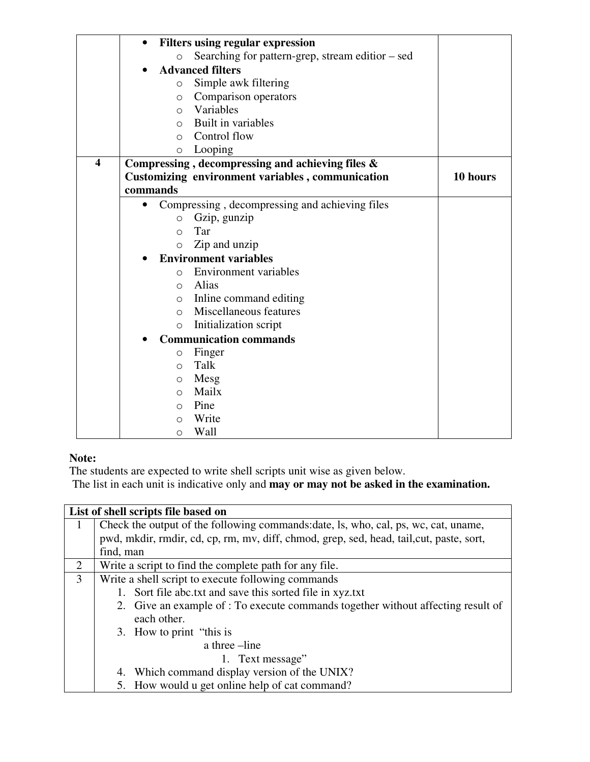|                         | $\bullet$  | <b>Filters using regular expression</b>                 |          |
|-------------------------|------------|---------------------------------------------------------|----------|
|                         | $\circ$    | Searching for pattern-grep, stream editior – sed        |          |
|                         |            | <b>Advanced filters</b>                                 |          |
|                         | $\circ$    | Simple awk filtering                                    |          |
|                         | $\circ$    | Comparison operators                                    |          |
|                         | $\circ$    | Variables                                               |          |
|                         | $\Omega$   | Built in variables                                      |          |
|                         | $\Omega$   | Control flow                                            |          |
|                         | $\circ$    | Looping                                                 |          |
| $\overline{\mathbf{4}}$ |            | Compressing, decompressing and achieving files &        |          |
|                         |            | <b>Customizing environment variables, communication</b> | 10 hours |
|                         | commands   |                                                         |          |
|                         |            | Compressing, decompressing and achieving files          |          |
|                         | $\circ$    | Gzip, gunzip                                            |          |
|                         | $\circ$    | Tar                                                     |          |
|                         | $\circ$    | Zip and unzip                                           |          |
|                         |            | <b>Environment variables</b>                            |          |
|                         | $\Omega$   | <b>Environment</b> variables                            |          |
|                         | $\Omega$   | Alias                                                   |          |
|                         | $\circ$    | Inline command editing                                  |          |
|                         | $\bigcirc$ | Miscellaneous features                                  |          |
|                         | $\circ$    | Initialization script                                   |          |
|                         |            | <b>Communication commands</b>                           |          |
|                         | $\circ$    | Finger                                                  |          |
|                         | $\Omega$   | Talk                                                    |          |
|                         | $\circ$    | Mesg                                                    |          |
|                         | $\circ$    | Mailx                                                   |          |
|                         | $\circ$    | Pine                                                    |          |
|                         | $\Omega$   | Write                                                   |          |
|                         | $\circ$    | Wall                                                    |          |

## **Note:**

The students are expected to write shell scripts unit wise as given below.

The list in each unit is indicative only and **may or may not be asked in the examination.** 

|   | List of shell scripts file based on                                                      |  |  |  |
|---|------------------------------------------------------------------------------------------|--|--|--|
| 1 | Check the output of the following commands: date, ls, who, cal, ps, wc, cat, uname,      |  |  |  |
|   | pwd, mkdir, rmdir, cd, cp, rm, mv, diff, chmod, grep, sed, head, tail, cut, paste, sort, |  |  |  |
|   | find, man                                                                                |  |  |  |
| 2 | Write a script to find the complete path for any file.                                   |  |  |  |
| 3 | Write a shell script to execute following commands                                       |  |  |  |
|   | 1. Sort file abc.txt and save this sorted file in xyz.txt                                |  |  |  |
|   | 2. Give an example of : To execute commands together without affecting result of         |  |  |  |
|   | each other.                                                                              |  |  |  |
|   | 3. How to print "this is                                                                 |  |  |  |
|   | a three -line                                                                            |  |  |  |
|   | 1. Text message"                                                                         |  |  |  |
|   | 4. Which command display version of the UNIX?                                            |  |  |  |
|   | 5. How would u get online help of cat command?                                           |  |  |  |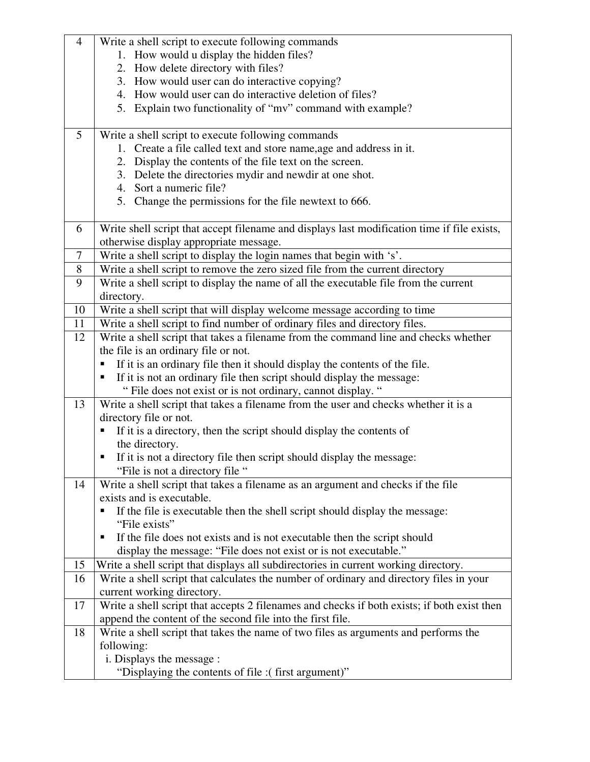| $\overline{4}$ | Write a shell script to execute following commands                                          |
|----------------|---------------------------------------------------------------------------------------------|
|                | 1. How would u display the hidden files?                                                    |
|                | 2. How delete directory with files?                                                         |
|                | 3. How would user can do interactive copying?                                               |
|                | 4. How would user can do interactive deletion of files?                                     |
|                | 5. Explain two functionality of "mv" command with example?                                  |
|                |                                                                                             |
| $\mathfrak{S}$ | Write a shell script to execute following commands                                          |
|                | 1. Create a file called text and store name, age and address in it.                         |
|                | Display the contents of the file text on the screen.<br>2.                                  |
|                | Delete the directories mydir and newdir at one shot.<br>3.                                  |
|                | 4. Sort a numeric file?                                                                     |
|                | 5. Change the permissions for the file newtext to 666.                                      |
|                |                                                                                             |
| 6              | Write shell script that accept filename and displays last modification time if file exists, |
|                | otherwise display appropriate message.                                                      |
| 7              | Write a shell script to display the login names that begin with 's'.                        |
| 8              | Write a shell script to remove the zero sized file from the current directory               |
| 9              | Write a shell script to display the name of all the executable file from the current        |
|                | directory.                                                                                  |
| 10             | Write a shell script that will display welcome message according to time                    |
| 11             | Write a shell script to find number of ordinary files and directory files.                  |
| 12             | Write a shell script that takes a filename from the command line and checks whether         |
|                | the file is an ordinary file or not.                                                        |
|                | If it is an ordinary file then it should display the contents of the file.                  |
|                | If it is not an ordinary file then script should display the message:                       |
|                | " File does not exist or is not ordinary, cannot display. "                                 |
| 13             | Write a shell script that takes a filename from the user and checks whether it is a         |
|                | directory file or not.                                                                      |
|                | If it is a directory, then the script should display the contents of                        |
|                | the directory.                                                                              |
|                | If it is not a directory file then script should display the message:                       |
|                | "File is not a directory file"                                                              |
| 14             | Write a shell script that takes a filename as an argument and checks if the file            |
|                | exists and is executable.                                                                   |
|                | If the file is executable then the shell script should display the message:                 |
|                | "File exists"                                                                               |
|                | If the file does not exists and is not executable then the script should<br>п               |
|                | display the message: "File does not exist or is not executable."                            |
| 15             | Write a shell script that displays all subdirectories in current working directory.         |
| 16             | Write a shell script that calculates the number of ordinary and directory files in your     |
|                | current working directory.                                                                  |
| 17             | Write a shell script that accepts 2 filenames and checks if both exists; if both exist then |
|                | append the content of the second file into the first file.                                  |
| 18             | Write a shell script that takes the name of two files as arguments and performs the         |
|                | following:                                                                                  |
|                | i. Displays the message :                                                                   |
|                | "Displaying the contents of file : (first argument)"                                        |
|                |                                                                                             |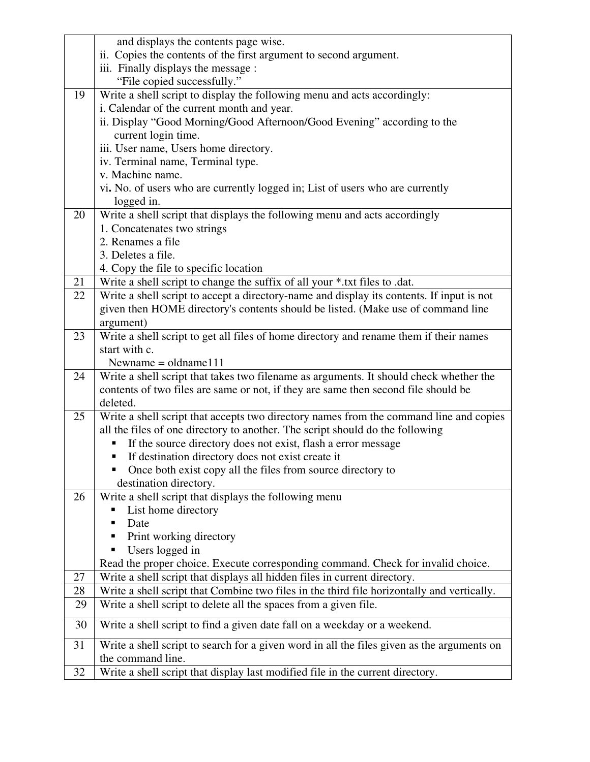|    | and displays the contents page wise.                                                       |
|----|--------------------------------------------------------------------------------------------|
|    | ii. Copies the contents of the first argument to second argument.                          |
|    | iii. Finally displays the message :                                                        |
|    | "File copied successfully."                                                                |
| 19 | Write a shell script to display the following menu and acts accordingly:                   |
|    | i. Calendar of the current month and year.                                                 |
|    | ii. Display "Good Morning/Good Afternoon/Good Evening" according to the                    |
|    | current login time.                                                                        |
|    | iii. User name, Users home directory.                                                      |
|    | iv. Terminal name, Terminal type.                                                          |
|    | v. Machine name.                                                                           |
|    | vi. No. of users who are currently logged in; List of users who are currently              |
|    | logged in.                                                                                 |
| 20 | Write a shell script that displays the following menu and acts accordingly                 |
|    | 1. Concatenates two strings                                                                |
|    | 2. Renames a file                                                                          |
|    | 3. Deletes a file.                                                                         |
|    | 4. Copy the file to specific location                                                      |
| 21 | Write a shell script to change the suffix of all your *.txt files to .dat.                 |
| 22 | Write a shell script to accept a directory-name and display its contents. If input is not  |
|    | given then HOME directory's contents should be listed. (Make use of command line           |
|    | argument)                                                                                  |
| 23 | Write a shell script to get all files of home directory and rename them if their names     |
|    | start with c.                                                                              |
|    | Newname = $\alpha$ dename 111                                                              |
| 24 | Write a shell script that takes two filename as arguments. It should check whether the     |
|    | contents of two files are same or not, if they are same then second file should be         |
|    | deleted.                                                                                   |
| 25 | Write a shell script that accepts two directory names from the command line and copies     |
|    | all the files of one directory to another. The script should do the following              |
|    | If the source directory does not exist, flash a error message                              |
|    | If destination directory does not exist create it                                          |
|    | Once both exist copy all the files from source directory to                                |
|    | destination directory.                                                                     |
| 26 | Write a shell script that displays the following menu                                      |
|    | List home directory                                                                        |
|    | Date                                                                                       |
|    | Print working directory                                                                    |
|    | Users logged in                                                                            |
|    | Read the proper choice. Execute corresponding command. Check for invalid choice.           |
| 27 | Write a shell script that displays all hidden files in current directory.                  |
| 28 | Write a shell script that Combine two files in the third file horizontally and vertically. |
| 29 | Write a shell script to delete all the spaces from a given file.                           |
| 30 | Write a shell script to find a given date fall on a weekday or a weekend.                  |
| 31 | Write a shell script to search for a given word in all the files given as the arguments on |
|    | the command line.                                                                          |
| 32 | Write a shell script that display last modified file in the current directory.             |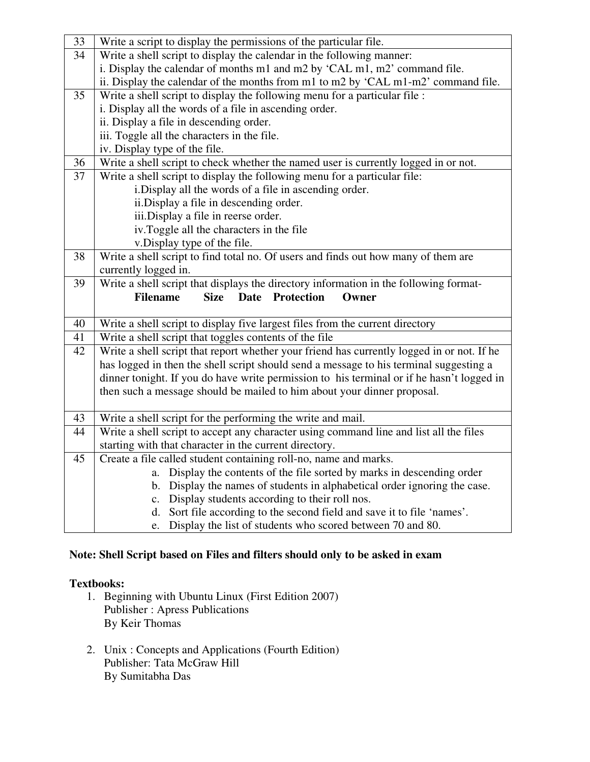| 33 | Write a script to display the permissions of the particular file.                                                           |  |  |  |  |  |
|----|-----------------------------------------------------------------------------------------------------------------------------|--|--|--|--|--|
| 34 | Write a shell script to display the calendar in the following manner:                                                       |  |  |  |  |  |
|    | i. Display the calendar of months m1 and m2 by 'CAL m1, m2' command file.                                                   |  |  |  |  |  |
|    | ii. Display the calendar of the months from m1 to m2 by 'CAL m1-m2' command file.                                           |  |  |  |  |  |
| 35 | Write a shell script to display the following menu for a particular file :                                                  |  |  |  |  |  |
|    | i. Display all the words of a file in ascending order.                                                                      |  |  |  |  |  |
|    | ii. Display a file in descending order.                                                                                     |  |  |  |  |  |
|    | iii. Toggle all the characters in the file.                                                                                 |  |  |  |  |  |
|    | iv. Display type of the file.                                                                                               |  |  |  |  |  |
| 36 | Write a shell script to check whether the named user is currently logged in or not.                                         |  |  |  |  |  |
| 37 | Write a shell script to display the following menu for a particular file:                                                   |  |  |  |  |  |
|    | i. Display all the words of a file in ascending order.                                                                      |  |  |  |  |  |
|    | ii.Display a file in descending order.                                                                                      |  |  |  |  |  |
|    | iii.Display a file in reerse order.                                                                                         |  |  |  |  |  |
|    | iv.Toggle all the characters in the file                                                                                    |  |  |  |  |  |
|    | v.Display type of the file.                                                                                                 |  |  |  |  |  |
| 38 | Write a shell script to find total no. Of users and finds out how many of them are                                          |  |  |  |  |  |
|    | currently logged in.                                                                                                        |  |  |  |  |  |
| 39 | Write a shell script that displays the directory information in the following format-                                       |  |  |  |  |  |
|    | <b>Filename</b><br><b>Size</b><br>Date Protection<br>Owner                                                                  |  |  |  |  |  |
|    |                                                                                                                             |  |  |  |  |  |
| 40 | Write a shell script to display five largest files from the current directory                                               |  |  |  |  |  |
| 41 | Write a shell script that toggles contents of the file                                                                      |  |  |  |  |  |
| 42 |                                                                                                                             |  |  |  |  |  |
|    | Write a shell script that report whether your friend has currently logged in or not. If he                                  |  |  |  |  |  |
|    | has logged in then the shell script should send a message to his terminal suggesting a                                      |  |  |  |  |  |
|    | dinner tonight. If you do have write permission to his terminal or if he hasn't logged in                                   |  |  |  |  |  |
|    | then such a message should be mailed to him about your dinner proposal.                                                     |  |  |  |  |  |
|    |                                                                                                                             |  |  |  |  |  |
| 43 | Write a shell script for the performing the write and mail.                                                                 |  |  |  |  |  |
| 44 | Write a shell script to accept any character using command line and list all the files                                      |  |  |  |  |  |
|    | starting with that character in the current directory.                                                                      |  |  |  |  |  |
| 45 | Create a file called student containing roll-no, name and marks.                                                            |  |  |  |  |  |
|    | a. Display the contents of the file sorted by marks in descending order                                                     |  |  |  |  |  |
|    | b. Display the names of students in alphabetical order ignoring the case.                                                   |  |  |  |  |  |
|    | c. Display students according to their roll nos.<br>d. Sort file according to the second field and save it to file 'names'. |  |  |  |  |  |

## **Note: Shell Script based on Files and filters should only to be asked in exam**

### **Textbooks:**

- 1. Beginning with Ubuntu Linux (First Edition 2007) Publisher : Apress Publications By Keir Thomas
- 2. Unix : Concepts and Applications (Fourth Edition) Publisher: Tata McGraw Hill By Sumitabha Das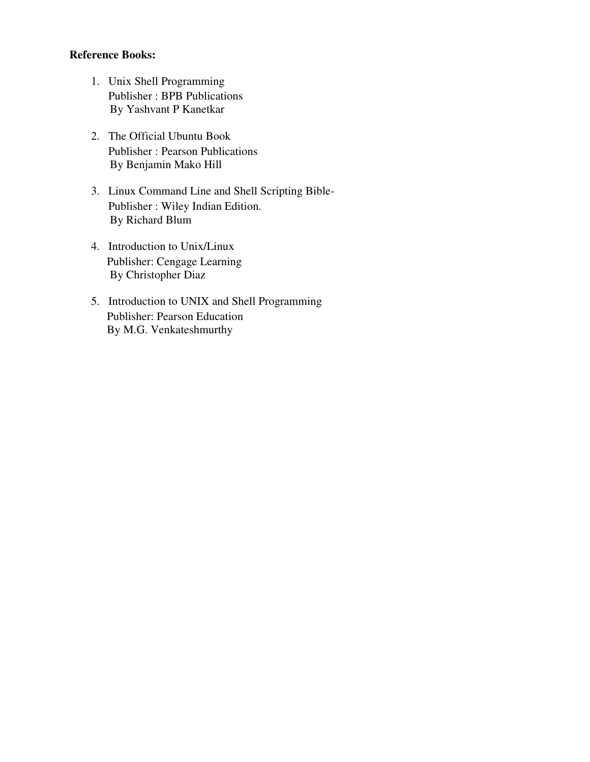- 1. Unix Shell Programming Publisher : BPB Publications By Yashvant P Kanetkar
- 2. The Official Ubuntu Book Publisher : Pearson Publications By Benjamin Mako Hill
- 3. Linux Command Line and Shell Scripting Bible-Publisher : Wiley Indian Edition. By Richard Blum
- 4. Introduction to Unix/Linux Publisher: Cengage Learning By Christopher Diaz
- 5. Introduction to UNIX and Shell Programming Publisher: Pearson Education By M.G. Venkateshmurthy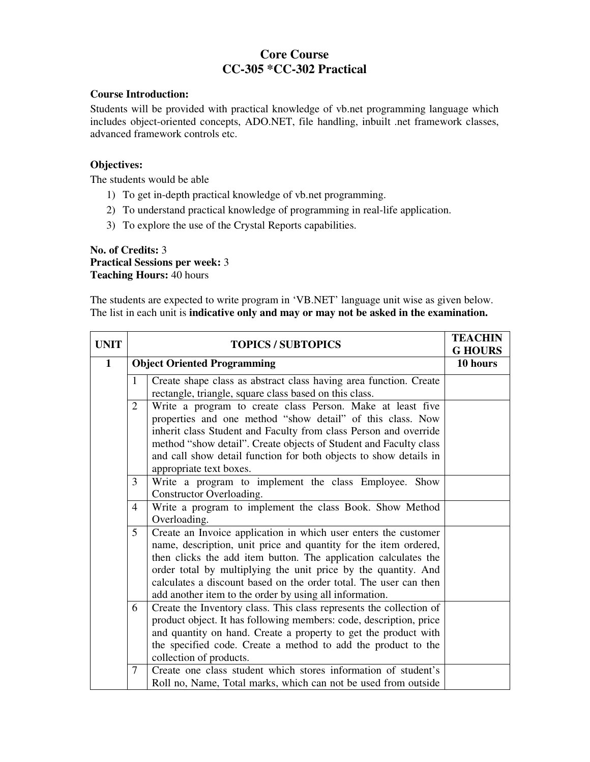## **Core Course CC-305 \*CC-302 Practical**

#### **Course Introduction:**

Students will be provided with practical knowledge of vb.net programming language which includes object-oriented concepts, ADO.NET, file handling, inbuilt .net framework classes, advanced framework controls etc.

#### **Objectives:**

The students would be able

- 1) To get in-depth practical knowledge of vb.net programming.
- 2) To understand practical knowledge of programming in real-life application.
- 3) To explore the use of the Crystal Reports capabilities.

#### **No. of Credits:** 3 **Practical Sessions per week:** 3 **Teaching Hours:** 40 hours

The students are expected to write program in 'VB.NET' language unit wise as given below. The list in each unit is **indicative only and may or may not be asked in the examination.** 

| <b>UNIT</b>  | <b>TOPICS / SUBTOPICS</b>          |                                                                                                                                                                                                                                                                                                                                                                                                          | <b>TEACHIN</b><br><b>G HOURS</b> |
|--------------|------------------------------------|----------------------------------------------------------------------------------------------------------------------------------------------------------------------------------------------------------------------------------------------------------------------------------------------------------------------------------------------------------------------------------------------------------|----------------------------------|
| $\mathbf{1}$ | <b>Object Oriented Programming</b> |                                                                                                                                                                                                                                                                                                                                                                                                          | 10 hours                         |
|              | $\mathbf{1}$                       | Create shape class as abstract class having area function. Create<br>rectangle, triangle, square class based on this class.                                                                                                                                                                                                                                                                              |                                  |
|              | $\overline{2}$                     | Write a program to create class Person. Make at least five<br>properties and one method "show detail" of this class. Now<br>inherit class Student and Faculty from class Person and override<br>method "show detail". Create objects of Student and Faculty class<br>and call show detail function for both objects to show details in<br>appropriate text boxes.                                        |                                  |
|              | 3                                  | Write a program to implement the class Employee. Show<br>Constructor Overloading.                                                                                                                                                                                                                                                                                                                        |                                  |
|              | $\overline{4}$                     | Write a program to implement the class Book. Show Method<br>Overloading.                                                                                                                                                                                                                                                                                                                                 |                                  |
|              | 5                                  | Create an Invoice application in which user enters the customer<br>name, description, unit price and quantity for the item ordered,<br>then clicks the add item button. The application calculates the<br>order total by multiplying the unit price by the quantity. And<br>calculates a discount based on the order total. The user can then<br>add another item to the order by using all information. |                                  |
|              | 6                                  | Create the Inventory class. This class represents the collection of<br>product object. It has following members: code, description, price<br>and quantity on hand. Create a property to get the product with<br>the specified code. Create a method to add the product to the<br>collection of products.                                                                                                 |                                  |
|              | $\overline{7}$                     | Create one class student which stores information of student's<br>Roll no, Name, Total marks, which can not be used from outside                                                                                                                                                                                                                                                                         |                                  |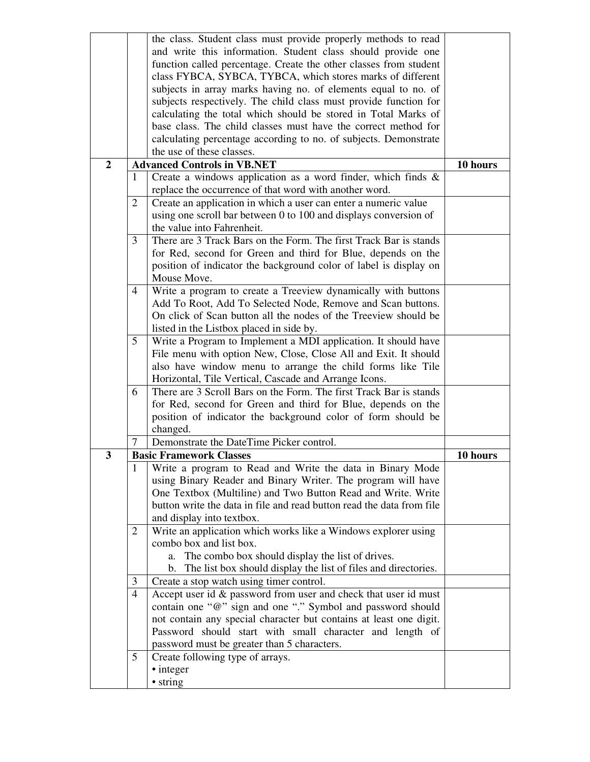|                |                | the class. Student class must provide properly methods to read                   |          |  |
|----------------|----------------|----------------------------------------------------------------------------------|----------|--|
|                |                | and write this information. Student class should provide one                     |          |  |
|                |                | function called percentage. Create the other classes from student                |          |  |
|                |                | class FYBCA, SYBCA, TYBCA, which stores marks of different                       |          |  |
|                |                | subjects in array marks having no. of elements equal to no. of                   |          |  |
|                |                | subjects respectively. The child class must provide function for                 |          |  |
|                |                | calculating the total which should be stored in Total Marks of                   |          |  |
|                |                | base class. The child classes must have the correct method for                   |          |  |
|                |                | calculating percentage according to no. of subjects. Demonstrate                 |          |  |
|                |                | the use of these classes.                                                        |          |  |
| $\overline{2}$ |                | <b>Advanced Controls in VB.NET</b>                                               | 10 hours |  |
|                | $\mathbf{1}$   | Create a windows application as a word finder, which finds &                     |          |  |
|                |                | replace the occurrence of that word with another word.                           |          |  |
|                |                |                                                                                  |          |  |
|                | $\overline{2}$ | Create an application in which a user can enter a numeric value                  |          |  |
|                |                | using one scroll bar between 0 to 100 and displays conversion of                 |          |  |
|                |                | the value into Fahrenheit.                                                       |          |  |
|                | 3              | There are 3 Track Bars on the Form. The first Track Bar is stands                |          |  |
|                |                | for Red, second for Green and third for Blue, depends on the                     |          |  |
|                |                | position of indicator the background color of label is display on<br>Mouse Move. |          |  |
|                | 4              | Write a program to create a Treeview dynamically with buttons                    |          |  |
|                |                | Add To Root, Add To Selected Node, Remove and Scan buttons.                      |          |  |
|                |                | On click of Scan button all the nodes of the Treeview should be                  |          |  |
|                |                | listed in the Listbox placed in side by.                                         |          |  |
|                | 5              | Write a Program to Implement a MDI application. It should have                   |          |  |
|                |                | File menu with option New, Close, Close All and Exit. It should                  |          |  |
|                |                | also have window menu to arrange the child forms like Tile                       |          |  |
|                |                | Horizontal, Tile Vertical, Cascade and Arrange Icons.                            |          |  |
|                |                | There are 3 Scroll Bars on the Form. The first Track Bar is stands               |          |  |
|                | 6              |                                                                                  |          |  |
|                |                | for Red, second for Green and third for Blue, depends on the                     |          |  |
|                |                | position of indicator the background color of form should be                     |          |  |
|                |                | changed.                                                                         |          |  |
|                | 7              | Demonstrate the DateTime Picker control.                                         |          |  |
| 3              |                | <b>Basic Framework Classes</b>                                                   | 10 hours |  |
|                | $\mathbf{I}$   | Write a program to Read and Write the data in Binary Mode                        |          |  |
|                |                | using Binary Reader and Binary Writer. The program will have                     |          |  |
|                |                | One Textbox (Multiline) and Two Button Read and Write. Write                     |          |  |
|                |                | button write the data in file and read button read the data from file            |          |  |
|                |                | and display into textbox.                                                        |          |  |
|                | 2              | Write an application which works like a Windows explorer using                   |          |  |
|                |                | combo box and list box.                                                          |          |  |
|                |                | The combo box should display the list of drives.<br>a.                           |          |  |
|                |                | The list box should display the list of files and directories.<br>b.             |          |  |
|                | 3              | Create a stop watch using timer control.                                         |          |  |
|                | $\overline{4}$ | Accept user id & password from user and check that user id must                  |          |  |
|                |                | contain one "@" sign and one "." Symbol and password should                      |          |  |
|                |                | not contain any special character but contains at least one digit.               |          |  |
|                |                | Password should start with small character and length of                         |          |  |
|                |                | password must be greater than 5 characters.                                      |          |  |
|                | 5              | Create following type of arrays.                                                 |          |  |
|                |                | · integer                                                                        |          |  |
|                |                | • string                                                                         |          |  |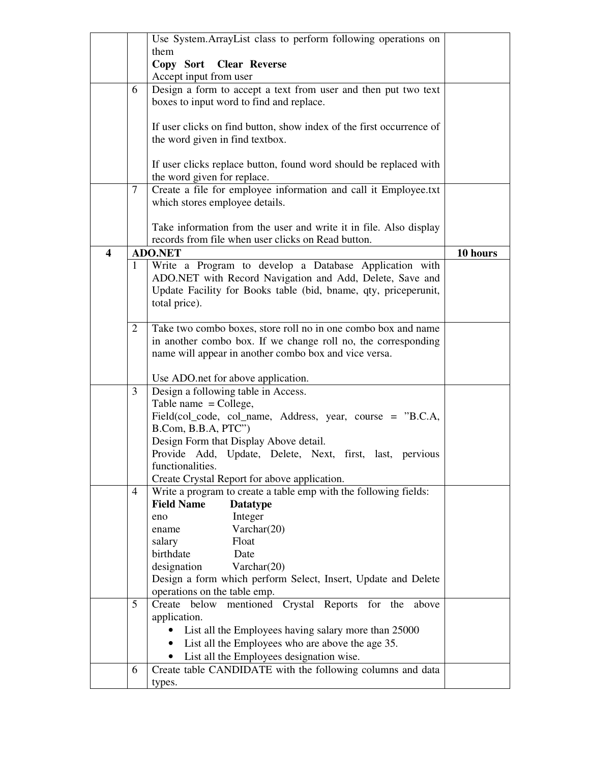|                         |              | Use System.ArrayList class to perform following operations on             |          |
|-------------------------|--------------|---------------------------------------------------------------------------|----------|
|                         |              | them                                                                      |          |
|                         |              | Copy Sort Clear Reverse                                                   |          |
|                         |              | Accept input from user                                                    |          |
|                         | 6            | Design a form to accept a text from user and then put two text            |          |
|                         |              | boxes to input word to find and replace.                                  |          |
|                         |              |                                                                           |          |
|                         |              | If user clicks on find button, show index of the first occurrence of      |          |
|                         |              | the word given in find textbox.                                           |          |
|                         |              |                                                                           |          |
|                         |              | If user clicks replace button, found word should be replaced with         |          |
|                         |              | the word given for replace.                                               |          |
|                         | 7            | Create a file for employee information and call it Employee.txt           |          |
|                         |              | which stores employee details.                                            |          |
|                         |              |                                                                           |          |
|                         |              | Take information from the user and write it in file. Also display         |          |
|                         |              | records from file when user clicks on Read button.                        |          |
| $\overline{\mathbf{4}}$ |              | <b>ADO.NET</b>                                                            | 10 hours |
|                         | $\mathbf{1}$ | Write a Program to develop a Database Application with                    |          |
|                         |              | ADO.NET with Record Navigation and Add, Delete, Save and                  |          |
|                         |              | Update Facility for Books table (bid, bname, qty, priceperunit,           |          |
|                         |              | total price).                                                             |          |
|                         |              |                                                                           |          |
|                         | 2            | Take two combo boxes, store roll no in one combo box and name             |          |
|                         |              | in another combo box. If we change roll no, the corresponding             |          |
|                         |              | name will appear in another combo box and vice versa.                     |          |
|                         |              |                                                                           |          |
|                         | 3            | Use ADO.net for above application.<br>Design a following table in Access. |          |
|                         |              | Table name $=$ College,                                                   |          |
|                         |              | Field(col_code, col_name, Address, year, course = "B.C.A,                 |          |
|                         |              | B.Com, B.B.A, PTC")                                                       |          |
|                         |              | Design Form that Display Above detail.                                    |          |
|                         |              | Provide Add, Update, Delete, Next, first, last, pervious                  |          |
|                         |              | functionalities.                                                          |          |
|                         |              | Create Crystal Report for above application.                              |          |
|                         | 4            | Write a program to create a table emp with the following fields:          |          |
|                         |              | <b>Field Name</b><br><b>Datatype</b>                                      |          |
|                         |              | Integer<br>eno                                                            |          |
|                         |              | Varchar(20)<br>ename                                                      |          |
|                         |              | Float<br>salary                                                           |          |
|                         |              | birthdate<br>Date                                                         |          |
|                         |              | designation<br>Varchar $(20)$                                             |          |
|                         |              | Design a form which perform Select, Insert, Update and Delete             |          |
|                         |              | operations on the table emp.                                              |          |
|                         | 5            | Crystal Reports for the<br>Create<br>below<br>mentioned<br>above          |          |
|                         |              | application.                                                              |          |
|                         |              | List all the Employees having salary more than 25000                      |          |
|                         |              | List all the Employees who are above the age 35.<br>$\bullet$             |          |
|                         |              | List all the Employees designation wise.                                  |          |
|                         | 6            | Create table CANDIDATE with the following columns and data                |          |
|                         |              | types.                                                                    |          |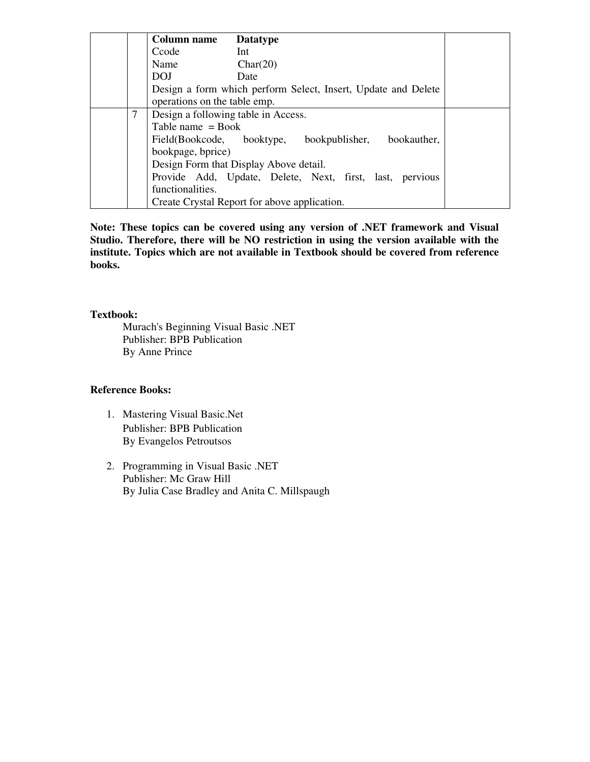|   | <b>Column name</b>                  | <b>Datatype</b>                                               |
|---|-------------------------------------|---------------------------------------------------------------|
|   | Ccode                               | Int                                                           |
|   | Name                                | Char(20)                                                      |
|   | <b>DOJ</b>                          | Date                                                          |
|   | operations on the table emp.        | Design a form which perform Select, Insert, Update and Delete |
| 7 | Design a following table in Access. |                                                               |
|   | Table name $=$ Book                 |                                                               |
|   | Field(Bookcode, booktype,           | bookauther,<br>bookpublisher,                                 |
|   | bookpage, bprice)                   |                                                               |
|   |                                     | Design Form that Display Above detail.                        |
|   |                                     | Provide Add, Update, Delete, Next, first, last, pervious      |
|   | functionalities.                    |                                                               |
|   |                                     | Create Crystal Report for above application.                  |

**Note: These topics can be covered using any version of .NET framework and Visual Studio. Therefore, there will be NO restriction in using the version available with the institute. Topics which are not available in Textbook should be covered from reference books.**

#### **Textbook:**

Murach's Beginning Visual Basic .NET Publisher: BPB Publication By Anne Prince

- 1. Mastering Visual Basic.Net Publisher: BPB Publication By Evangelos Petroutsos
- 2. Programming in Visual Basic .NET Publisher: Mc Graw Hill By Julia Case Bradley and Anita C. Millspaugh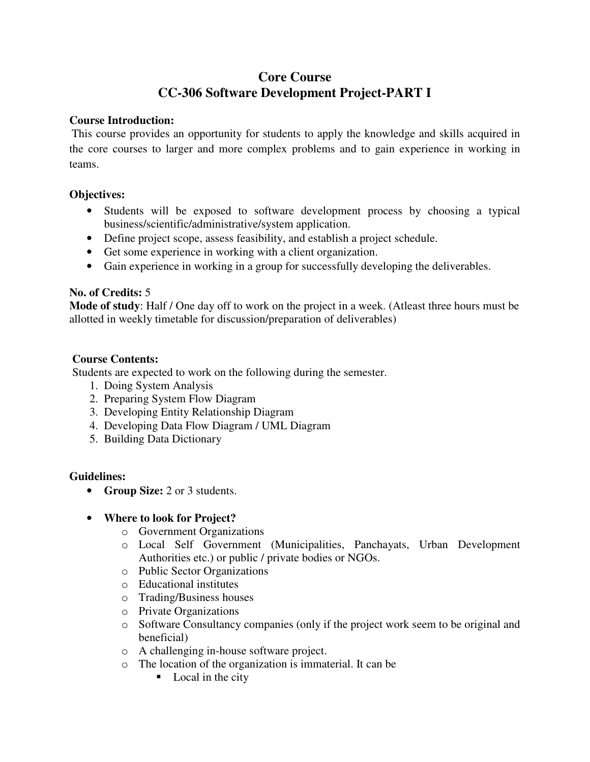# **Core Course CC-306 Software Development Project-PART I**

## **Course Introduction:**

This course provides an opportunity for students to apply the knowledge and skills acquired in the core courses to larger and more complex problems and to gain experience in working in teams.

## **Objectives:**

- Students will be exposed to software development process by choosing a typical business/scientific/administrative/system application.
- Define project scope, assess feasibility, and establish a project schedule.
- Get some experience in working with a client organization.
- Gain experience in working in a group for successfully developing the deliverables.

#### **No. of Credits:** 5

**Mode of study**: Half / One day off to work on the project in a week. (Atleast three hours must be allotted in weekly timetable for discussion/preparation of deliverables)

## **Course Contents:**

Students are expected to work on the following during the semester.

- 1. Doing System Analysis
- 2. Preparing System Flow Diagram
- 3. Developing Entity Relationship Diagram
- 4. Developing Data Flow Diagram / UML Diagram
- 5. Building Data Dictionary

#### **Guidelines:**

• **Group Size:** 2 or 3 students.

#### • **Where to look for Project?**

- o Government Organizations
- o Local Self Government (Municipalities, Panchayats, Urban Development Authorities etc.) or public / private bodies or NGOs.
- o Public Sector Organizations
- o Educational institutes
- o Trading/Business houses
- o Private Organizations
- o Software Consultancy companies (only if the project work seem to be original and beneficial)
- o A challenging in-house software project.
- o The location of the organization is immaterial. It can be
	- Local in the city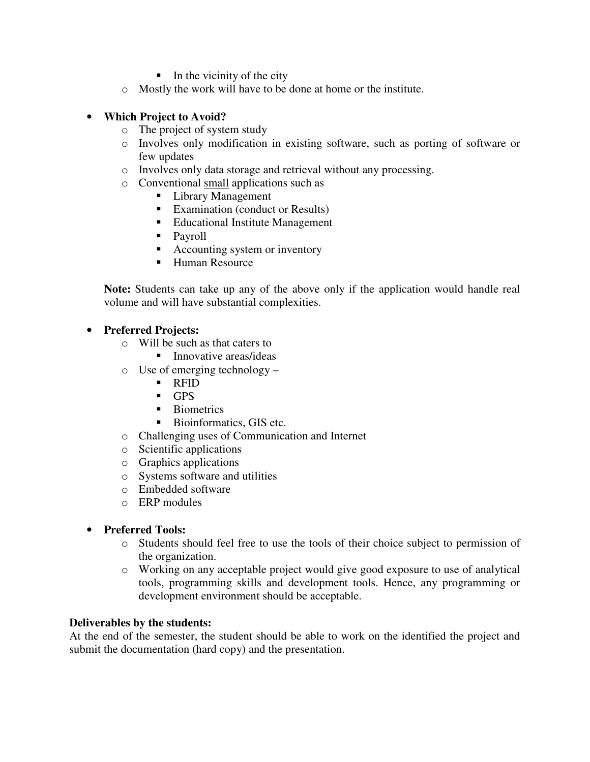- $\blacksquare$  In the vicinity of the city
- o Mostly the work will have to be done at home or the institute.

## • **Which Project to Avoid?**

- o The project of system study
- o Involves only modification in existing software, such as porting of software or few updates
- o Involves only data storage and retrieval without any processing.
- o Conventional small applications such as
	- **Library Management**
	- Examination (conduct or Results)
	- Educational Institute Management
	- **Payroll**
	- Accounting system or inventory
	- Human Resource

**Note:** Students can take up any of the above only if the application would handle real volume and will have substantial complexities.

#### • **Preferred Projects:**

- o Will be such as that caters to
	- Innovative areas/ideas
- o Use of emerging technology
	- RFID
	- **GPS**
	- **Biometrics**
	- Bioinformatics, GIS etc.
- o Challenging uses of Communication and Internet
- o Scientific applications
- o Graphics applications
- o Systems software and utilities
- o Embedded software
- o ERP modules

#### • **Preferred Tools:**

- o Students should feel free to use the tools of their choice subject to permission of the organization.
- o Working on any acceptable project would give good exposure to use of analytical tools, programming skills and development tools. Hence, any programming or development environment should be acceptable.

#### **Deliverables by the students:**

At the end of the semester, the student should be able to work on the identified the project and submit the documentation (hard copy) and the presentation.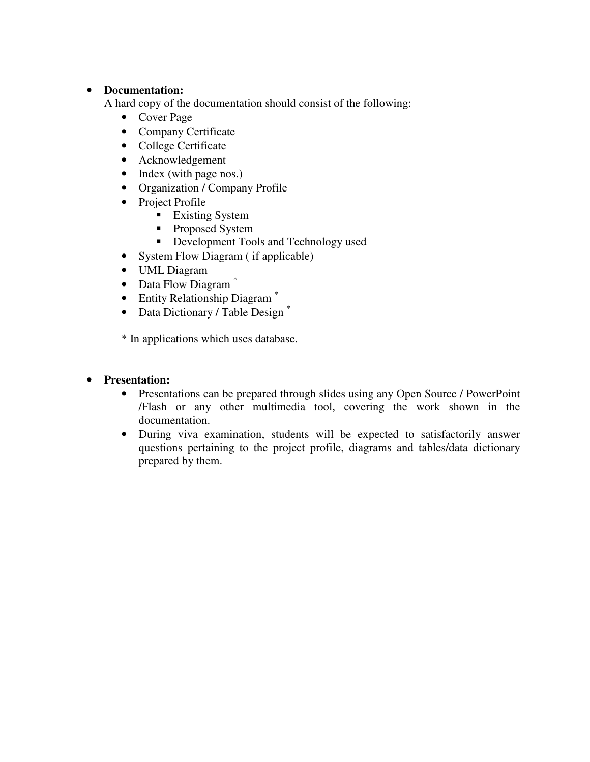## • **Documentation:**

A hard copy of the documentation should consist of the following:

- Cover Page
- Company Certificate
- College Certificate
- Acknowledgement
- Index (with page nos.)
- Organization / Company Profile
- Project Profile
	- **Existing System**
	- Proposed System
	- Development Tools and Technology used
- System Flow Diagram (if applicable)
- UML Diagram
- Data Flow Diagram<sup>\*</sup>
- Entity Relationship Diagram<sup>\*</sup>
- Data Dictionary / Table Design<sup>\*</sup>

\* In applications which uses database.

## • **Presentation:**

- Presentations can be prepared through slides using any Open Source / PowerPoint /Flash or any other multimedia tool, covering the work shown in the documentation.
- During viva examination, students will be expected to satisfactorily answer questions pertaining to the project profile, diagrams and tables/data dictionary prepared by them.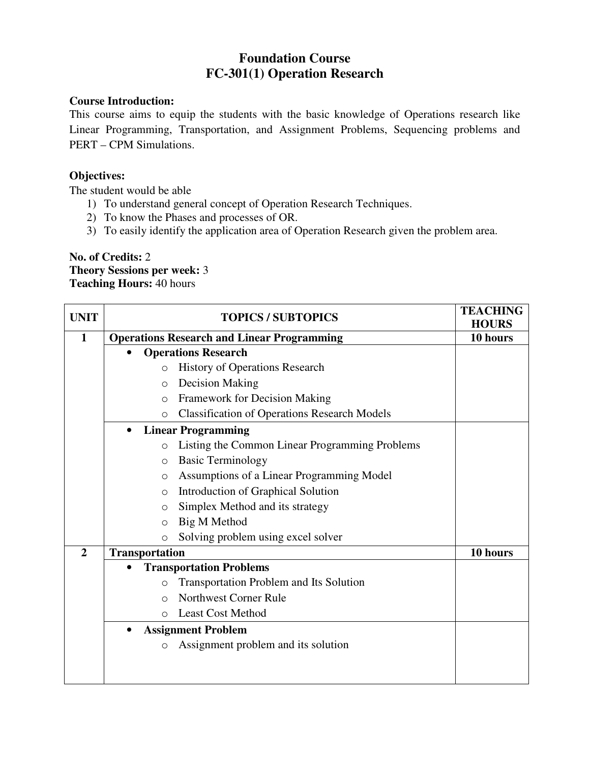# **Foundation Course FC-301(1) Operation Research**

## **Course Introduction:**

This course aims to equip the students with the basic knowledge of Operations research like Linear Programming, Transportation, and Assignment Problems, Sequencing problems and PERT – CPM Simulations.

## **Objectives:**

The student would be able

- 1) To understand general concept of Operation Research Techniques.
- 2) To know the Phases and processes of OR.
- 3) To easily identify the application area of Operation Research given the problem area.

## **No. of Credits:** 2 **Theory Sessions per week:** 3 **Teaching Hours:** 40 hours

| <b>UNIT</b>    | <b>TOPICS / SUBTOPICS</b> |                                                     | <b>TEACHING</b><br><b>HOURS</b> |
|----------------|---------------------------|-----------------------------------------------------|---------------------------------|
| $\mathbf{1}$   |                           | <b>Operations Research and Linear Programming</b>   | 10 hours                        |
|                | $\bullet$                 | <b>Operations Research</b>                          |                                 |
|                | $\circ$                   | <b>History of Operations Research</b>               |                                 |
|                | $\circ$                   | <b>Decision Making</b>                              |                                 |
|                | $\circ$                   | <b>Framework for Decision Making</b>                |                                 |
|                | $\Omega$                  | <b>Classification of Operations Research Models</b> |                                 |
|                | $\bullet$                 | <b>Linear Programming</b>                           |                                 |
|                | $\circ$                   | Listing the Common Linear Programming Problems      |                                 |
|                | O                         | <b>Basic Terminology</b>                            |                                 |
|                | $\circ$                   | Assumptions of a Linear Programming Model           |                                 |
|                | O                         | Introduction of Graphical Solution                  |                                 |
|                | O                         | Simplex Method and its strategy                     |                                 |
|                | $\circ$                   | <b>Big M Method</b>                                 |                                 |
|                | $\circ$                   | Solving problem using excel solver                  |                                 |
| $\overline{2}$ | <b>Transportation</b>     |                                                     | 10 hours                        |
|                | $\bullet$                 | <b>Transportation Problems</b>                      |                                 |
|                | $\circ$                   | Transportation Problem and Its Solution             |                                 |
|                | $\Omega$                  | <b>Northwest Corner Rule</b>                        |                                 |
|                | $\Omega$                  | <b>Least Cost Method</b>                            |                                 |
|                |                           | <b>Assignment Problem</b>                           |                                 |
|                | $\circ$                   | Assignment problem and its solution                 |                                 |
|                |                           |                                                     |                                 |
|                |                           |                                                     |                                 |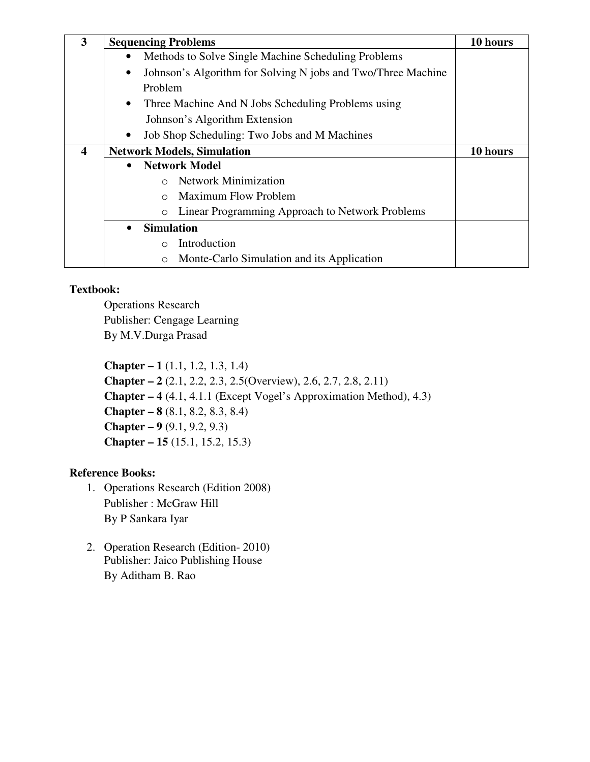| 3                       | <b>Sequencing Problems</b> | 10 hours                                                     |          |
|-------------------------|----------------------------|--------------------------------------------------------------|----------|
|                         | $\bullet$                  | Methods to Solve Single Machine Scheduling Problems          |          |
|                         | ٠                          | Johnson's Algorithm for Solving N jobs and Two/Three Machine |          |
|                         |                            | Problem                                                      |          |
|                         | $\bullet$                  | Three Machine And N Jobs Scheduling Problems using           |          |
|                         |                            | Johnson's Algorithm Extension                                |          |
|                         | $\bullet$                  | Job Shop Scheduling: Two Jobs and M Machines                 |          |
| $\overline{\mathbf{4}}$ |                            | <b>Network Models, Simulation</b>                            | 10 hours |
|                         | $\bullet$                  | <b>Network Model</b>                                         |          |
|                         |                            | <b>Network Minimization</b><br>$\bigcirc$                    |          |
|                         |                            | <b>Maximum Flow Problem</b><br>$\bigcirc$                    |          |
|                         |                            | Linear Programming Approach to Network Problems<br>$\circ$   |          |
|                         | $\bullet$                  | <b>Simulation</b>                                            |          |
|                         |                            | Introduction<br>$\bigcirc$                                   |          |
|                         |                            | Monte-Carlo Simulation and its Application<br>$\circ$        |          |

## **Textbook:**

Operations Research Publisher: Cengage Learning By M.V.Durga Prasad

**Chapter – 1** (1.1, 1.2, 1.3, 1.4) **Chapter – 2** (2.1, 2.2, 2.3, 2.5(Overview), 2.6, 2.7, 2.8, 2.11) **Chapter – 4** (4.1, 4.1.1 (Except Vogel's Approximation Method), 4.3) **Chapter – 8** (8.1, 8.2, 8.3, 8.4) **Chapter – 9** (9.1, 9.2, 9.3) **Chapter – 15** (15.1, 15.2, 15.3)

- 1. Operations Research (Edition 2008) Publisher : McGraw Hill By P Sankara Iyar
- 2. Operation Research (Edition- 2010) Publisher: Jaico Publishing House By Aditham B. Rao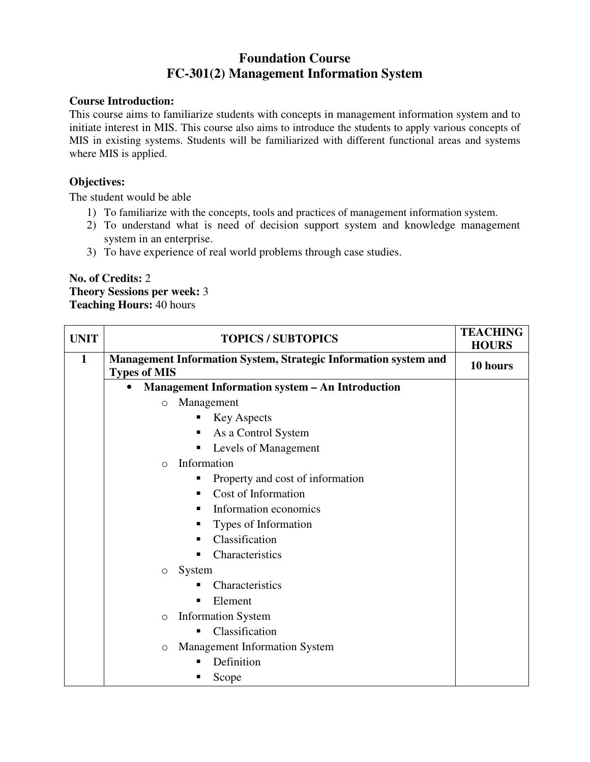# **Foundation Course FC-301(2) Management Information System**

## **Course Introduction:**

This course aims to familiarize students with concepts in management information system and to initiate interest in MIS. This course also aims to introduce the students to apply various concepts of MIS in existing systems. Students will be familiarized with different functional areas and systems where MIS is applied.

## **Objectives:**

The student would be able

- 1) To familiarize with the concepts, tools and practices of management information system.
- 2) To understand what is need of decision support system and knowledge management system in an enterprise.
- 3) To have experience of real world problems through case studies.

### **No. of Credits:** 2 **Theory Sessions per week:** 3 **Teaching Hours:** 40 hours

| <b>UNIT</b>  | <b>TOPICS / SUBTOPICS</b>                                                              | <b>TEACHING</b><br><b>HOURS</b> |
|--------------|----------------------------------------------------------------------------------------|---------------------------------|
| $\mathbf{1}$ | Management Information System, Strategic Information system and<br><b>Types of MIS</b> | 10 hours                        |
|              | <b>Management Information system - An Introduction</b><br>$\bullet$                    |                                 |
|              | Management<br>$\circ$                                                                  |                                 |
|              | <b>Key Aspects</b>                                                                     |                                 |
|              | As a Control System<br>٠                                                               |                                 |
|              | Levels of Management                                                                   |                                 |
|              | Information<br>$\circ$                                                                 |                                 |
|              | Property and cost of information<br>п                                                  |                                 |
|              | Cost of Information<br>п                                                               |                                 |
|              | Information economics<br>٠                                                             |                                 |
|              | Types of Information<br>п                                                              |                                 |
|              | Classification<br>п                                                                    |                                 |
|              | Characteristics                                                                        |                                 |
|              | System<br>$\circ$                                                                      |                                 |
|              | Characteristics                                                                        |                                 |
|              | Element                                                                                |                                 |
|              | <b>Information System</b><br>$\circ$                                                   |                                 |
|              | Classification                                                                         |                                 |
|              | <b>Management Information System</b><br>$\circ$                                        |                                 |
|              | Definition                                                                             |                                 |
|              | Scope                                                                                  |                                 |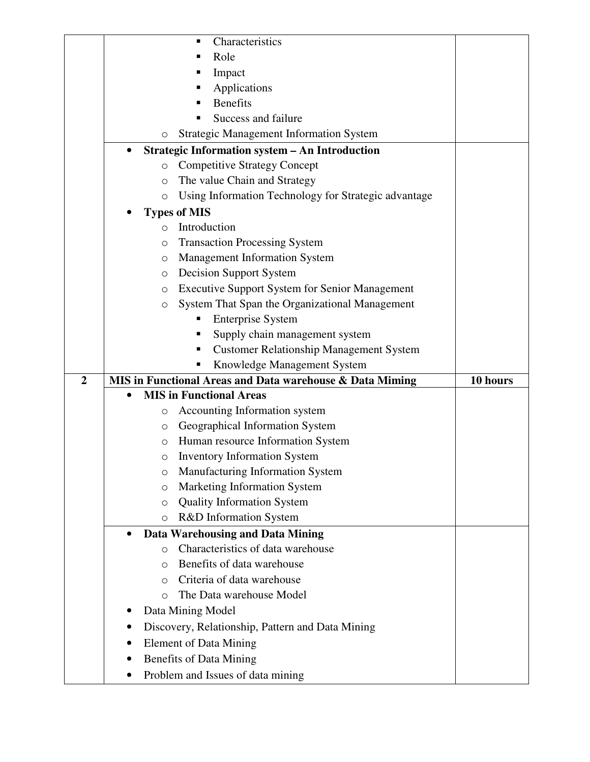|                | Characteristics<br>п                                            |          |
|----------------|-----------------------------------------------------------------|----------|
|                | Role                                                            |          |
|                | Impact<br>п                                                     |          |
|                | Applications                                                    |          |
|                | <b>Benefits</b><br>п                                            |          |
|                | Success and failure<br>п                                        |          |
|                | <b>Strategic Management Information System</b><br>O             |          |
|                | <b>Strategic Information system - An Introduction</b>           |          |
|                | <b>Competitive Strategy Concept</b><br>O                        |          |
|                | The value Chain and Strategy<br>$\circ$                         |          |
|                | Using Information Technology for Strategic advantage<br>$\circ$ |          |
|                | <b>Types of MIS</b>                                             |          |
|                | Introduction<br>$\circ$                                         |          |
|                | <b>Transaction Processing System</b><br>O                       |          |
|                | <b>Management Information System</b><br>O                       |          |
|                | <b>Decision Support System</b><br>O                             |          |
|                | <b>Executive Support System for Senior Management</b><br>O      |          |
|                | System That Span the Organizational Management<br>O             |          |
|                | <b>Enterprise System</b>                                        |          |
|                | Supply chain management system<br>Е                             |          |
|                | <b>Customer Relationship Management System</b><br>п             |          |
|                |                                                                 |          |
|                | Knowledge Management System                                     |          |
| $\overline{2}$ | MIS in Functional Areas and Data warehouse & Data Miming        | 10 hours |
|                | <b>MIS in Functional Areas</b>                                  |          |
|                | Accounting Information system<br>$\circ$                        |          |
|                | Geographical Information System<br>O                            |          |
|                | Human resource Information System<br>$\circ$                    |          |
|                | <b>Inventory Information System</b><br>O                        |          |
|                | Manufacturing Information System<br>O                           |          |
|                | Marketing Information System<br>$\circ$                         |          |
|                | <b>Quality Information System</b><br>O                          |          |
|                | R&D Information System<br>$\circ$                               |          |
|                | <b>Data Warehousing and Data Mining</b><br>$\bullet$            |          |
|                | Characteristics of data warehouse<br>$\Omega$                   |          |
|                | Benefits of data warehouse<br>$\Omega$                          |          |
|                | Criteria of data warehouse<br>$\Omega$                          |          |
|                | The Data warehouse Model<br>O                                   |          |
|                | Data Mining Model                                               |          |
|                | Discovery, Relationship, Pattern and Data Mining                |          |
|                | <b>Element of Data Mining</b>                                   |          |
|                | <b>Benefits of Data Mining</b>                                  |          |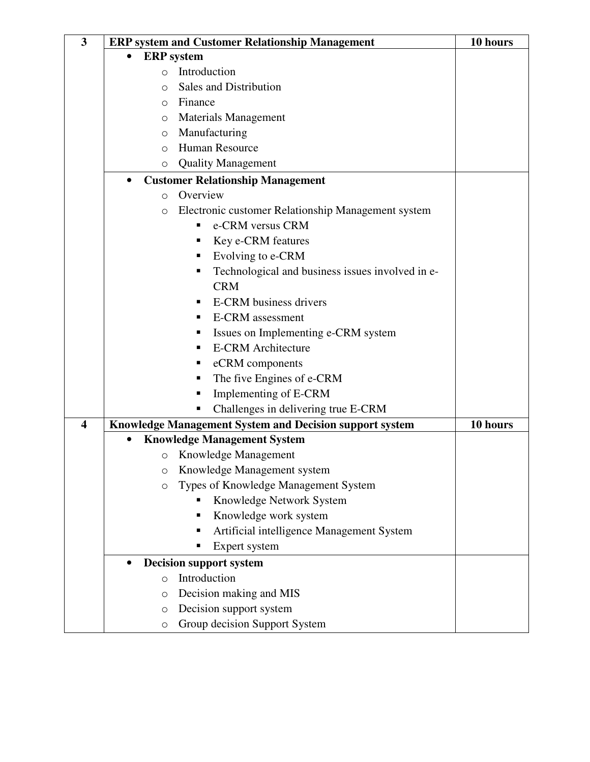| $\overline{\mathbf{3}}$ | <b>ERP system and Customer Relationship Management</b>        | 10 hours |  |  |
|-------------------------|---------------------------------------------------------------|----------|--|--|
|                         | <b>ERP</b> system<br>$\bullet$                                |          |  |  |
|                         | Introduction<br>$\circ$                                       |          |  |  |
|                         | <b>Sales and Distribution</b><br>$\circ$                      |          |  |  |
|                         | Finance<br>$\circ$                                            |          |  |  |
|                         | <b>Materials Management</b><br>O                              |          |  |  |
|                         | Manufacturing<br>$\circ$                                      |          |  |  |
|                         | Human Resource<br>$\Omega$                                    |          |  |  |
|                         | <b>Quality Management</b><br>O                                |          |  |  |
|                         | <b>Customer Relationship Management</b><br>$\bullet$          |          |  |  |
|                         | Overview<br>$\circ$                                           |          |  |  |
|                         | Electronic customer Relationship Management system<br>$\circ$ |          |  |  |
|                         | e-CRM versus CRM<br>٠                                         |          |  |  |
|                         | Key e-CRM features<br>Е                                       |          |  |  |
|                         | Evolving to e-CRM<br>п                                        |          |  |  |
|                         | Technological and business issues involved in e-<br>Е         |          |  |  |
|                         | <b>CRM</b>                                                    |          |  |  |
|                         | <b>E-CRM</b> business drivers<br>п                            |          |  |  |
|                         | <b>E-CRM</b> assessment<br>п                                  |          |  |  |
|                         | Issues on Implementing e-CRM system<br>п                      |          |  |  |
|                         | <b>E-CRM</b> Architecture<br>п                                |          |  |  |
|                         | eCRM components<br>п                                          |          |  |  |
|                         | The five Engines of e-CRM<br>п                                |          |  |  |
|                         | Implementing of E-CRM<br>п                                    |          |  |  |
|                         | Challenges in delivering true E-CRM                           |          |  |  |
| $\overline{\mathbf{4}}$ | Knowledge Management System and Decision support system       | 10 hours |  |  |
|                         | <b>Knowledge Management System</b>                            |          |  |  |
|                         | Knowledge Management<br>$\circ$                               |          |  |  |
|                         | Knowledge Management system<br>О                              |          |  |  |
|                         | Types of Knowledge Management System<br>O                     |          |  |  |
|                         | Knowledge Network System                                      |          |  |  |
|                         | Knowledge work system<br>п                                    |          |  |  |
|                         | Artificial intelligence Management System<br>п                |          |  |  |
|                         | Expert system<br>п                                            |          |  |  |
|                         | <b>Decision support system</b><br>$\bullet$                   |          |  |  |
|                         | Introduction<br>$\circ$                                       |          |  |  |
|                         | Decision making and MIS<br>O                                  |          |  |  |
|                         | Decision support system<br>$\circ$                            |          |  |  |
|                         | Group decision Support System<br>$\bigcirc$                   |          |  |  |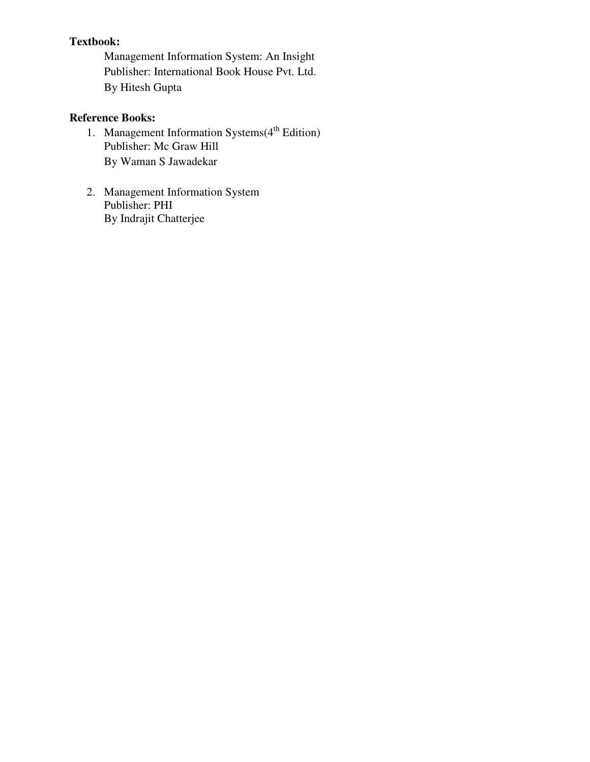## **Textbook:**

Management Information System: An Insight Publisher: International Book House Pvt. Ltd. By Hitesh Gupta

- 1. Management Information Systems $(4<sup>th</sup> Edition)$ Publisher: Mc Graw Hill By Waman S Jawadekar
- 2. Management Information System Publisher: PHI By Indrajit Chatterjee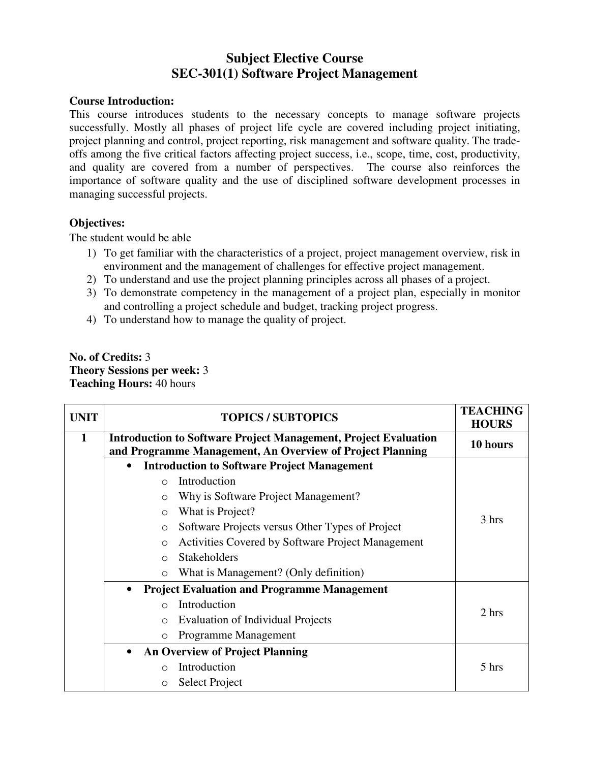# **Subject Elective Course SEC-301(1) Software Project Management**

#### **Course Introduction:**

This course introduces students to the necessary concepts to manage software projects successfully. Mostly all phases of project life cycle are covered including project initiating, project planning and control, project reporting, risk management and software quality. The tradeoffs among the five critical factors affecting project success, i.e., scope, time, cost, productivity, and quality are covered from a number of perspectives. The course also reinforces the importance of software quality and the use of disciplined software development processes in managing successful projects.

## **Objectives:**

The student would be able

- 1) To get familiar with the characteristics of a project, project management overview, risk in environment and the management of challenges for effective project management.
- 2) To understand and use the project planning principles across all phases of a project.
- 3) To demonstrate competency in the management of a project plan, especially in monitor and controlling a project schedule and budget, tracking project progress.
- 4) To understand how to manage the quality of project.

## **No. of Credits:** 3 **Theory Sessions per week:** 3 **Teaching Hours:** 40 hours

| <b>UNIT</b> | <b>TOPICS / SUBTOPICS</b>                                                                                                           | <b>TEACHING</b><br><b>HOURS</b> |
|-------------|-------------------------------------------------------------------------------------------------------------------------------------|---------------------------------|
| 1           | <b>Introduction to Software Project Management, Project Evaluation</b><br>and Programme Management, An Overview of Project Planning | 10 hours                        |
|             | <b>Introduction to Software Project Management</b><br>$\bullet$                                                                     |                                 |
|             | Introduction<br>$\bigcap$                                                                                                           |                                 |
|             | Why is Software Project Management?<br>$\circ$                                                                                      |                                 |
|             | What is Project?<br>$\circ$                                                                                                         |                                 |
|             | Software Projects versus Other Types of Project<br>$\circ$                                                                          | 3 hrs                           |
|             | Activities Covered by Software Project Management<br>$\circ$                                                                        |                                 |
|             | <b>Stakeholders</b><br>$\bigcap$                                                                                                    |                                 |
|             | What is Management? (Only definition)<br>$\circ$                                                                                    |                                 |
|             | <b>Project Evaluation and Programme Management</b><br>$\bullet$                                                                     |                                 |
|             | Introduction<br>$\bigcap$                                                                                                           | 2 hrs                           |
|             | <b>Evaluation of Individual Projects</b><br>$\circ$                                                                                 |                                 |
|             | Programme Management<br>$\circ$                                                                                                     |                                 |
|             | <b>An Overview of Project Planning</b><br>$\bullet$                                                                                 |                                 |
|             | Introduction<br>$\bigcirc$                                                                                                          | 5 hrs                           |
|             | Select Project<br>$\circ$                                                                                                           |                                 |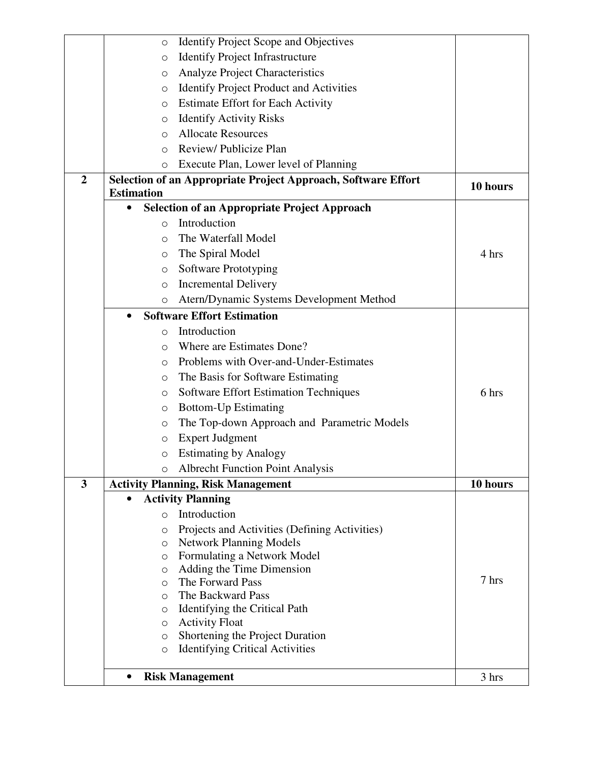|                         | <b>Identify Project Scope and Objectives</b><br>O                              |          |
|-------------------------|--------------------------------------------------------------------------------|----------|
|                         | <b>Identify Project Infrastructure</b><br>$\circ$                              |          |
|                         | Analyze Project Characteristics<br>O                                           |          |
|                         | <b>Identify Project Product and Activities</b><br>$\circ$                      |          |
|                         | <b>Estimate Effort for Each Activity</b><br>$\circ$                            |          |
|                         | <b>Identify Activity Risks</b><br>$\circ$                                      |          |
|                         | <b>Allocate Resources</b><br>$\circ$                                           |          |
|                         | Review/Publicize Plan<br>$\Omega$                                              |          |
|                         | Execute Plan, Lower level of Planning<br>O                                     |          |
| $\overline{2}$          | Selection of an Appropriate Project Approach, Software Effort                  |          |
|                         | <b>Estimation</b>                                                              | 10 hours |
|                         | <b>Selection of an Appropriate Project Approach</b><br>$\bullet$               |          |
|                         | Introduction<br>$\Omega$                                                       |          |
|                         | The Waterfall Model<br>$\Omega$                                                |          |
|                         | The Spiral Model<br>O                                                          | 4 hrs    |
|                         | Software Prototyping<br>O                                                      |          |
|                         | <b>Incremental Delivery</b><br>$\circ$                                         |          |
|                         | Atern/Dynamic Systems Development Method<br>O                                  |          |
|                         | <b>Software Effort Estimation</b><br>$\bullet$                                 |          |
|                         | Introduction<br>O                                                              |          |
|                         | Where are Estimates Done?<br>O                                                 |          |
|                         | Problems with Over-and-Under-Estimates<br>$\Omega$                             |          |
|                         | The Basis for Software Estimating<br>$\circ$                                   |          |
|                         | <b>Software Effort Estimation Techniques</b><br>O                              | 6 hrs    |
|                         | <b>Bottom-Up Estimating</b><br>O                                               |          |
|                         | The Top-down Approach and Parametric Models<br>$\circ$                         |          |
|                         | <b>Expert Judgment</b><br>$\circ$                                              |          |
|                         | <b>Estimating by Analogy</b><br>$\bigcirc$                                     |          |
|                         | <b>Albrecht Function Point Analysis</b><br>O                                   |          |
| $\overline{\mathbf{3}}$ | <b>Activity Planning, Risk Management</b>                                      | 10 hours |
|                         | <b>Activity Planning</b>                                                       |          |
|                         | Introduction<br>$\circ$                                                        |          |
|                         | Projects and Activities (Defining Activities)<br>O                             |          |
|                         | <b>Network Planning Models</b><br>O                                            |          |
|                         | Formulating a Network Model<br>$\circ$                                         |          |
|                         | Adding the Time Dimension<br>$\circ$                                           |          |
|                         | The Forward Pass<br>$\Omega$                                                   | 7 hrs    |
|                         | The Backward Pass<br>O                                                         |          |
|                         | Identifying the Critical Path<br>O                                             |          |
|                         | <b>Activity Float</b><br>$\circ$<br>Shortening the Project Duration<br>$\circ$ |          |
|                         | <b>Identifying Critical Activities</b><br>$\circ$                              |          |
|                         |                                                                                |          |
|                         | <b>Risk Management</b><br>$\bullet$                                            | 3 hrs    |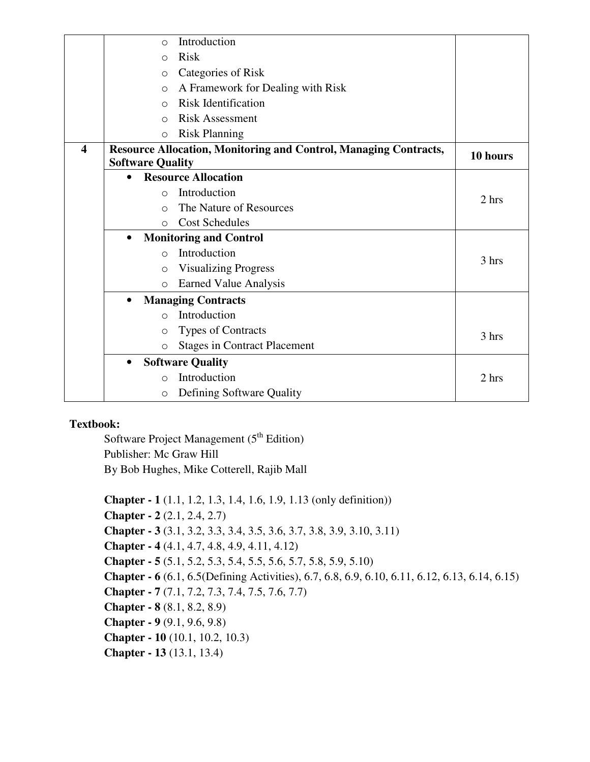|                         |           | $\circ$                 | Introduction                                                            |          |
|-------------------------|-----------|-------------------------|-------------------------------------------------------------------------|----------|
|                         |           | $\Omega$                | <b>Risk</b>                                                             |          |
|                         |           | $\Omega$                | Categories of Risk                                                      |          |
|                         |           | $\circ$                 | A Framework for Dealing with Risk                                       |          |
|                         |           | $\bigcirc$              | <b>Risk Identification</b>                                              |          |
|                         |           | $\bigcirc$              | <b>Risk Assessment</b>                                                  |          |
|                         |           | $\circ$                 | <b>Risk Planning</b>                                                    |          |
| $\overline{\mathbf{4}}$ |           |                         | <b>Resource Allocation, Monitoring and Control, Managing Contracts,</b> | 10 hours |
|                         |           | <b>Software Quality</b> |                                                                         |          |
|                         | $\bullet$ |                         | <b>Resource Allocation</b>                                              |          |
|                         |           | $\Omega$                | Introduction                                                            | 2 hrs    |
|                         |           | $\bigcirc$              | The Nature of Resources                                                 |          |
|                         |           | $\circ$                 | <b>Cost Schedules</b>                                                   |          |
|                         | $\bullet$ |                         | <b>Monitoring and Control</b>                                           |          |
|                         |           | $\circ$                 | Introduction                                                            | 3 hrs    |
|                         |           | $\circ$                 | <b>Visualizing Progress</b>                                             |          |
|                         |           | $\circ$                 | Earned Value Analysis                                                   |          |
|                         | $\bullet$ |                         | <b>Managing Contracts</b>                                               |          |
|                         |           | $\bigcirc$              | Introduction                                                            |          |
|                         |           | $\circ$                 | <b>Types of Contracts</b>                                               | 3 hrs    |
|                         |           | $\circ$                 | <b>Stages in Contract Placement</b>                                     |          |
|                         | $\bullet$ |                         | <b>Software Quality</b>                                                 |          |
|                         |           | $\bigcirc$              | Introduction                                                            | 2 hrs    |
|                         |           | $\circ$                 | Defining Software Quality                                               |          |

## **Textbook:**

Software Project Management  $(5<sup>th</sup> Edition)$ Publisher: Mc Graw Hill By Bob Hughes, Mike Cotterell, Rajib Mall

**Chapter - 1** (1.1, 1.2, 1.3, 1.4, 1.6, 1.9, 1.13 (only definition)) **Chapter - 2** (2.1, 2.4, 2.7) **Chapter - 3** (3.1, 3.2, 3.3, 3.4, 3.5, 3.6, 3.7, 3.8, 3.9, 3.10, 3.11) **Chapter - 4** (4.1, 4.7, 4.8, 4.9, 4.11, 4.12) **Chapter - 5** (5.1, 5.2, 5.3, 5.4, 5.5, 5.6, 5.7, 5.8, 5.9, 5.10) **Chapter - 6** (6.1, 6.5(Defining Activities), 6.7, 6.8, 6.9, 6.10, 6.11, 6.12, 6.13, 6.14, 6.15) **Chapter - 7** (7.1, 7.2, 7.3, 7.4, 7.5, 7.6, 7.7) **Chapter - 8** (8.1, 8.2, 8.9) **Chapter - 9** (9.1, 9.6, 9.8) **Chapter - 10** (10.1, 10.2, 10.3) **Chapter - 13** (13.1, 13.4)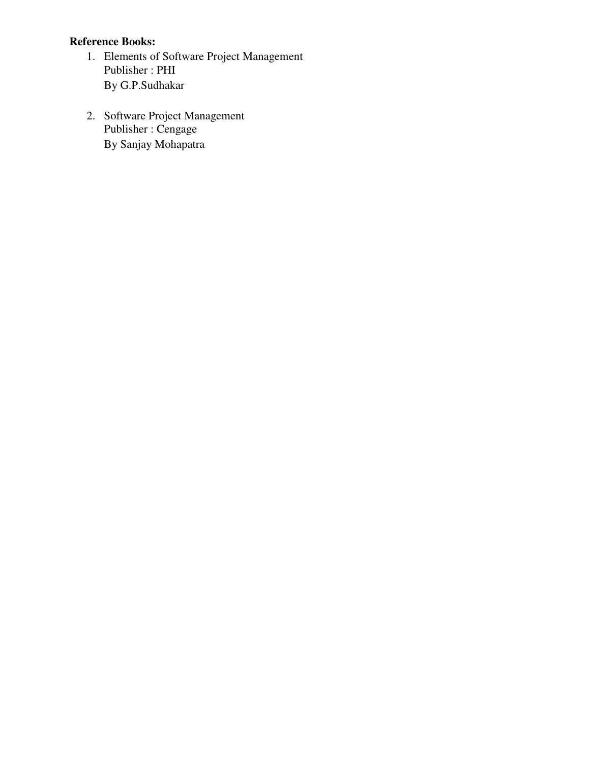- 1. Elements of Software Project Management Publisher : PHI By G.P.Sudhakar
- 2. Software Project Management Publisher : Cengage By Sanjay Mohapatra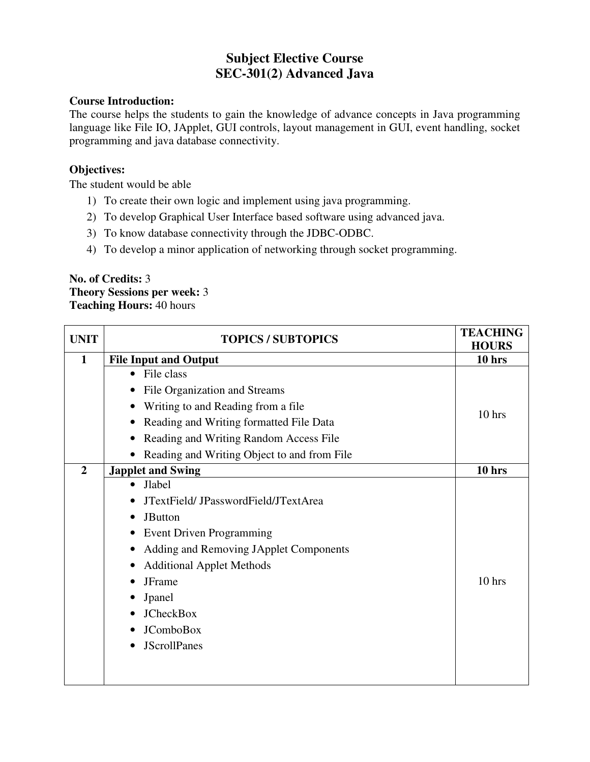# **Subject Elective Course SEC-301(2) Advanced Java**

## **Course Introduction:**

The course helps the students to gain the knowledge of advance concepts in Java programming language like File IO, JApplet, GUI controls, layout management in GUI, event handling, socket programming and java database connectivity.

## **Objectives:**

The student would be able

- 1) To create their own logic and implement using java programming.
- 2) To develop Graphical User Interface based software using advanced java.
- 3) To know database connectivity through the JDBC-ODBC.
- 4) To develop a minor application of networking through socket programming.

#### **No. of Credits:** 3 **Theory Sessions per week:** 3 **Teaching Hours:** 40 hours

| <b>UNIT</b>    | <b>TOPICS / SUBTOPICS</b>                   | <b>TEACHING</b><br><b>HOURS</b> |
|----------------|---------------------------------------------|---------------------------------|
| $\mathbf{1}$   | <b>File Input and Output</b>                | 10 hrs                          |
|                | File class<br>$\bullet$                     |                                 |
|                | File Organization and Streams               |                                 |
|                | Writing to and Reading from a file.         | $10$ hrs                        |
|                | Reading and Writing formatted File Data     |                                 |
|                | Reading and Writing Random Access File      |                                 |
|                | Reading and Writing Object to and from File |                                 |
| $\overline{2}$ | <b>Japplet and Swing</b>                    | $10$ hrs                        |
|                | <b>Jlabel</b>                               |                                 |
|                | JTextField/JPasswordField/JTextArea         |                                 |
|                | <b>JButton</b>                              |                                 |
|                | <b>Event Driven Programming</b>             |                                 |
|                | Adding and Removing JApplet Components      |                                 |
|                | <b>Additional Applet Methods</b>            |                                 |
|                | JFrame                                      | $10$ hrs                        |
|                | Jpanel                                      |                                 |
|                | <b>JCheckBox</b>                            |                                 |
|                | <b>JComboBox</b>                            |                                 |
|                | <b>JScrollPanes</b>                         |                                 |
|                |                                             |                                 |
|                |                                             |                                 |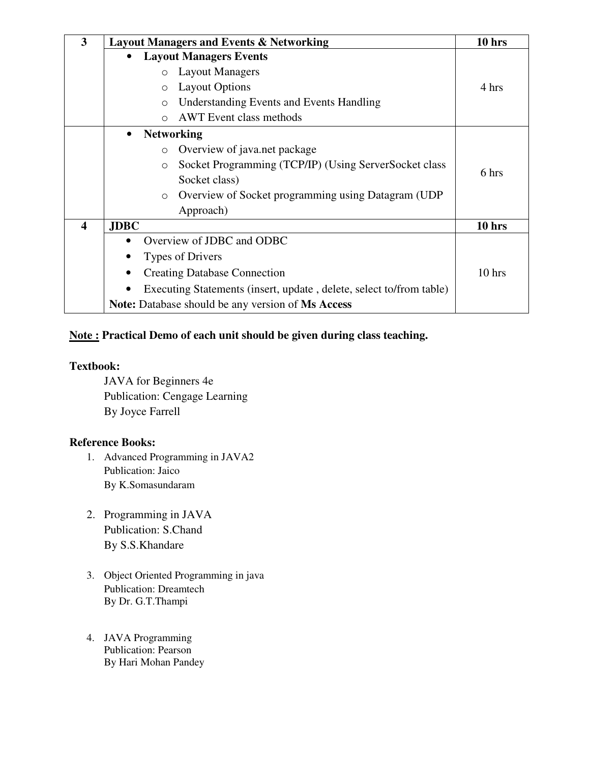| $\overline{\mathbf{3}}$ | <b>Layout Managers and Events &amp; Networking</b>                  | 10 <sub>hrs</sub> |
|-------------------------|---------------------------------------------------------------------|-------------------|
|                         | <b>Layout Managers Events</b><br>$\bullet$                          |                   |
|                         | <b>Layout Managers</b><br>$\circ$                                   |                   |
|                         | <b>Layout Options</b><br>$\circlearrowright$                        | 4 hrs             |
|                         | <b>Understanding Events and Events Handling</b><br>$\circ$          |                   |
|                         | <b>AWT</b> Event class methods<br>$\bigcirc$                        |                   |
|                         | <b>Networking</b><br>$\bullet$                                      |                   |
|                         | Overview of java.net package<br>$\circ$                             |                   |
|                         | Socket Programming (TCP/IP) (Using ServerSocket class<br>$\circ$    | 6 hrs             |
|                         | Socket class)                                                       |                   |
|                         | Overview of Socket programming using Datagram (UDP)<br>$\circ$      |                   |
|                         | Approach)                                                           |                   |
| $\overline{\mathbf{4}}$ | <b>JDBC</b>                                                         | 10 <sub>hrs</sub> |
|                         | Overview of JDBC and ODBC                                           |                   |
|                         | Types of Drivers                                                    |                   |
|                         | <b>Creating Database Connection</b><br>$\bullet$                    | 10 hrs            |
|                         | Executing Statements (insert, update, delete, select to/from table) |                   |
|                         | <b>Note:</b> Database should be any version of <b>Ms Access</b>     |                   |

## **Note : Practical Demo of each unit should be given during class teaching.**

## **Textbook:**

JAVA for Beginners 4e Publication: Cengage Learning By Joyce Farrell

- 1. Advanced Programming in JAVA2 Publication: Jaico By K.Somasundaram
- 2. Programming in JAVA Publication: S.Chand By S.S.Khandare
- 3. Object Oriented Programming in java Publication: Dreamtech By Dr. G.T.Thampi
- 4. JAVA Programming Publication: Pearson By Hari Mohan Pandey